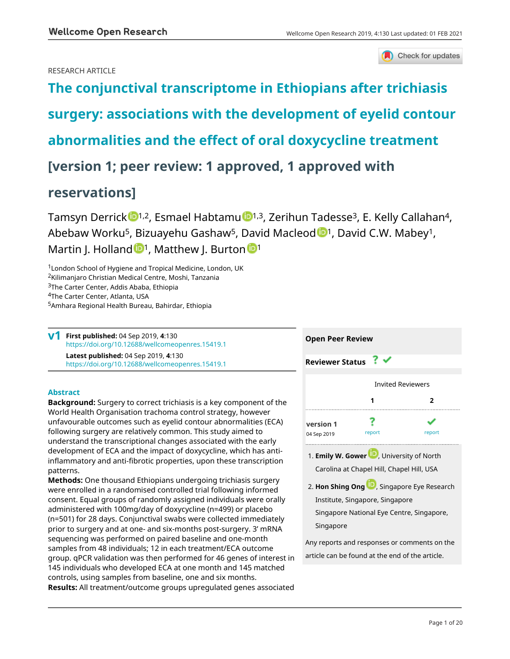

Check for updates

# RESEARCH ARTICLE

**[The conjunctival transcriptome in Ethiopians after trichiasis](https://wellcomeopenresearch.org/articles/4-130/v1) [surgery: associations with the development of eyelid contour](https://wellcomeopenresearch.org/articles/4-130/v1) [abnormalities and the effect of oral doxycycline treatment](https://wellcomeopenresearch.org/articles/4-130/v1) [version 1; peer review: 1 approved, 1 approved with reservations]**

Tamsyn Derrick  $\mathbb{D}^{1,2}$ , Esmael Habtamu  $\mathbb{D}^{1,3}$ , Zerihun Tadesse<sup>3</sup>, E. Kelly Callahan<sup>4</sup>, Abebaw Worku<sup>5</sup>, Bizuayehu Gashaw<sup>5</sup>, David Macleod <sup>101</sup>, David C.W. Mabey<sup>1</sup>, Martin J. Hollan[d](https://orcid.org/0000-0002-5828-6318)  $\mathbb{D}^1$ , Matthew J. Burto[n](https://orcid.org/0000-0003-1872-9169)  $\mathbb{D}^1$ 

London School of Hygiene and Tropical Medicine, London, UK Kilimanjaro Christian Medical Centre, Moshi, Tanzania The Carter Center, Addis Ababa, Ethiopia The Carter Center, Atlanta, USA Amhara Regional Health Bureau, Bahirdar, Ethiopia

**First published:** 04 Sep 2019, **4**:130 **v1** <https://doi.org/10.12688/wellcomeopenres.15419.1> **Latest published:** 04 Sep 2019, **4**:130 <https://doi.org/10.12688/wellcomeopenres.15419.1>

# **Abstract**

**Background:** Surgery to correct trichiasis is a key component of the World Health Organisation trachoma control strategy, however unfavourable outcomes such as eyelid contour abnormalities (ECA) following surgery are relatively common. This study aimed to understand the transcriptional changes associated with the early development of ECA and the impact of doxycycline, which has antiinflammatory and anti-fibrotic properties, upon these transcription patterns.

**Methods:** One thousand Ethiopians undergoing trichiasis surgery were enrolled in a randomised controlled trial following informed consent. Equal groups of randomly assigned individuals were orally administered with 100mg/day of doxycycline (n=499) or placebo (n=501) for 28 days. Conjunctival swabs were collected immediately prior to surgery and at one- and six-months post-surgery. 3' mRNA sequencing was performed on paired baseline and one-month samples from 48 individuals; 12 in each treatment/ECA outcome group. qPCR validation was then performed for 46 genes of interest in 145 individuals who developed ECA at one month and 145 matched controls, using samples from baseline, one and six months. **Results:** All treatment/outcome groups upregulated genes associated



Institute, Singapore, Singapore Singapore National Eye Centre, Singapore, Singapore

Any reports and responses or comments on the article can be found at the end of the article.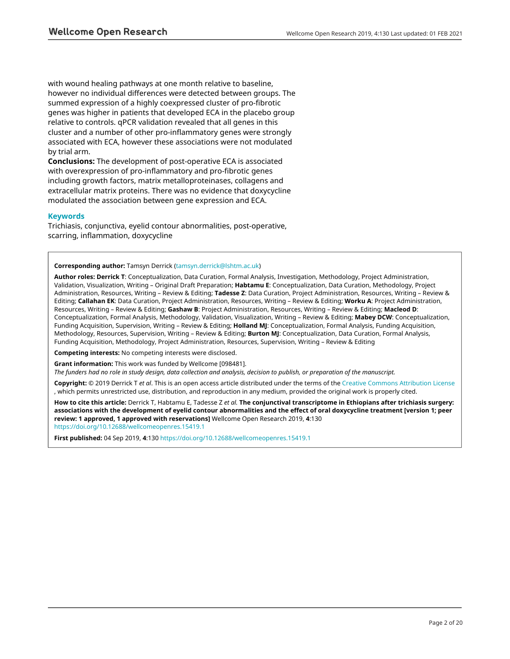with wound healing pathways at one month relative to baseline, however no individual differences were detected between groups. The summed expression of a highly coexpressed cluster of pro-fibrotic genes was higher in patients that developed ECA in the placebo group relative to controls. qPCR validation revealed that all genes in this cluster and a number of other pro-inflammatory genes were strongly associated with ECA, however these associations were not modulated by trial arm.

**Conclusions:** The development of post-operative ECA is associated with overexpression of pro-inflammatory and pro-fibrotic genes including growth factors, matrix metalloproteinases, collagens and extracellular matrix proteins. There was no evidence that doxycycline modulated the association between gene expression and ECA.

### **Keywords**

Trichiasis, conjunctiva, eyelid contour abnormalities, post-operative, scarring, inflammation, doxycycline

#### **Corresponding author:** Tamsyn Derrick [\(tamsyn.derrick@lshtm.ac.uk](mailto:tamsyn.derrick@lshtm.ac.uk))

**Author roles: Derrick T**: Conceptualization, Data Curation, Formal Analysis, Investigation, Methodology, Project Administration, Validation, Visualization, Writing – Original Draft Preparation; **Habtamu E**: Conceptualization, Data Curation, Methodology, Project Administration, Resources, Writing – Review & Editing; **Tadesse Z**: Data Curation, Project Administration, Resources, Writing – Review & Editing; **Callahan EK**: Data Curation, Project Administration, Resources, Writing – Review & Editing; **Worku A**: Project Administration, Resources, Writing – Review & Editing; **Gashaw B**: Project Administration, Resources, Writing – Review & Editing; **Macleod D**: Conceptualization, Formal Analysis, Methodology, Validation, Visualization, Writing – Review & Editing; **Mabey DCW**: Conceptualization, Funding Acquisition, Supervision, Writing – Review & Editing; **Holland MJ**: Conceptualization, Formal Analysis, Funding Acquisition, Methodology, Resources, Supervision, Writing – Review & Editing; **Burton MJ**: Conceptualization, Data Curation, Formal Analysis, Funding Acquisition, Methodology, Project Administration, Resources, Supervision, Writing – Review & Editing

**Competing interests:** No competing interests were disclosed.

**Grant information:** This work was funded by Wellcome [098481].

*The funders had no role in study design, data collection and analysis, decision to publish, or preparation of the manuscript.*

**Copyright:** © 2019 Derrick T *et al*. This is an open access article distributed under the terms of the [Creative Commons Attribution License](http://creativecommons.org/licenses/by/4.0/) , which permits unrestricted use, distribution, and reproduction in any medium, provided the original work is properly cited.

**How to cite this article:** Derrick T, Habtamu E, Tadesse Z *et al.* **The conjunctival transcriptome in Ethiopians after trichiasis surgery: associations with the development of eyelid contour abnormalities and the effect of oral doxycycline treatment [version 1; peer review: 1 approved, 1 approved with reservations]** Wellcome Open Research 2019, **4**:130 <https://doi.org/10.12688/wellcomeopenres.15419.1>

**First published:** 04 Sep 2019, **4**:130 <https://doi.org/10.12688/wellcomeopenres.15419.1>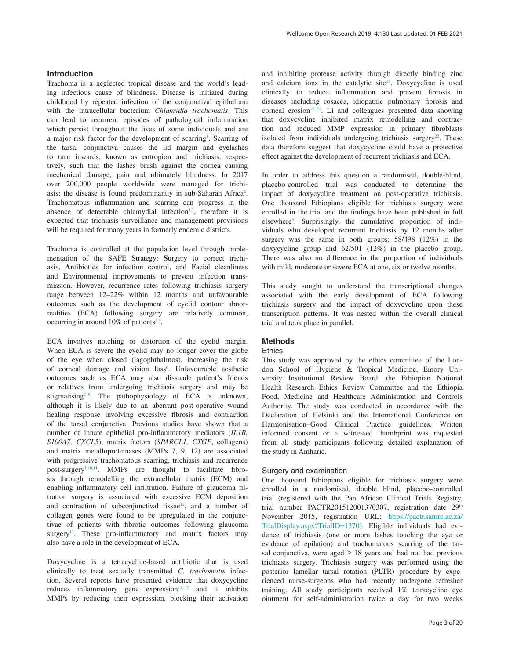#### **Introduction**

Trachoma is a neglected tropical disease and the world's leading infectious cause of blindness. Disease is initiated during childhood by repeated infection of the conjunctival epithelium with the intracellular bacterium *Chlamydia trachomatis*. This can lead to recurrent episodes of pathological inflammation which persist throughout the lives of some individuals and are a major risk factor for the development of scarring<sup>[1](#page-13-0)</sup>. Scarring of the tarsal conjunctiva causes the lid margin and eyelashes to turn inwards, known as entropion and trichiasis, respectively, such that the lashes brush against the cornea causing mechanical damage, pain and ultimately blindness. In 2017 over 200,000 people worldwide were managed for trichi-asis; the disease is found predominantly in sub-Saharan Africa<sup>[2](#page-13-0)</sup>. Trachomatous inflammation and scarring can progress in the absence of detectable chlamydial infection<sup>1,3</sup>, therefore it is expected that trichiasis surveillance and management provisions will be required for many years in formerly endemic districts.

Trachoma is controlled at the population level through implementation of the SAFE Strategy: **S**urgery to correct trichiasis, **A**ntibiotics for infection control, and **F**acial cleanliness and **E**nvironmental improvements to prevent infection transmission. However, recurrence rates following trichiasis surgery range between 12–22% within 12 months and unfavourable outcomes such as the development of eyelid contour abnormalities (ECA) following surgery are relatively common, occurring in around 10% of patients<sup>4,5</sup>.

ECA involves notching or distortion of the eyelid margin. When ECA is severe the eyelid may no longer cover the globe of the eye when closed (lagophthalmos), increasing the risk of corneal damage and vision loss<sup>[6](#page-13-0)</sup>. Unfavourable aesthetic outcomes such as ECA may also dissuade patient's friends or relatives from undergoing trichiasis surgery and may be stigmatising<sup> $7-9$ </sup>. The pathophysiology of ECA is unknown, although it is likely due to an aberrant post-operative wound healing response involving excessive fibrosis and contraction of the tarsal conjunctiva. Previous studies have shown that a number of innate epithelial pro-inflammatory mediators (*IL1B, S100A7, CXCL5*), matrix factors (*SPARCL1, CTGF*, collagens) and matrix metalloproteinases (MMPs 7, 9, 12) are associated with progressive trachomatous scarring, trichiasis and recurrence post-surgery<sup>[1,10,11](#page-13-0)</sup>. MMPs are thought to facilitate fibrosis through remodelling the extracellular matrix (ECM) and enabling inflammatory cell infiltration. Failure of glaucoma filtration surgery is associated with excessive ECM deposition and contraction of subconjunctival tissue $12$ , and a number of collagen genes were found to be upregulated in the conjunctivae of patients with fibrotic outcomes following glaucoma surgery<sup>13</sup>. These pro-inflammatory and matrix factors may also have a role in the development of ECA.

Doxycycline is a tetracycline-based antibiotic that is used clinically to treat sexually transmitted *C. trachomatis* infection. Several reports have presented evidence that doxycycline reduces inflammatory gene expression $14-17$  and it inhibits MMPs by reducing their expression, blocking their activation

and inhibiting protease activity through directly binding zinc and calcium ions in the catalytic site<sup>[18](#page-13-0)</sup>. Doxycycline is used clinically to reduce inflammation and prevent fibrosis in diseases including rosacea, idiopathic pulmonary fibrosis and corneal erosion<sup>19–21</sup>. Li and colleagues presented data showing that doxycycline inhibited matrix remodelling and contraction and reduced MMP expression in primary fibroblasts isolated from individuals undergoing trichiasis surgery $22$ . These data therefore suggest that doxycycline could have a protective effect against the development of recurrent trichiasis and ECA.

In order to address this question a randomised, double-blind, placebo-controlled trial was conducted to determine the impact of doxycycline treatment on post-operative trichiasis. One thousand Ethiopians eligible for trichiasis surgery were enrolled in the trial and the findings have been published in full elsewhere<sup>5</sup>. Surprisingly, the cumulative proportion of individuals who developed recurrent trichiasis by 12 months after surgery was the same in both groups; 58/498 (12%) in the doxycycline group and 62/501 (12%) in the placebo group. There was also no difference in the proportion of individuals with mild, moderate or severe ECA at one, six or twelve months.

This study sought to understand the transcriptional changes associated with the early development of ECA following trichiasis surgery and the impact of doxycycline upon these transcription patterns. It was nested within the overall clinical trial and took place in parallel.

#### **Methods**

#### **Ethics**

This study was approved by the ethics committee of the London School of Hygiene & Tropical Medicine, Emory University Institutional Review Board, the Ethiopian National Health Research Ethics Review Committee and the Ethiopia Food, Medicine and Healthcare Administration and Controls Authority. The study was conducted in accordance with the Declaration of Helsinki and the International Conference on Harmonisation–Good Clinical Practice guidelines. Written informed consent or a witnessed thumbprint was requested from all study participants following detailed explanation of the study in Amharic.

#### Surgery and examination

One thousand Ethiopians eligible for trichiasis surgery were enrolled in a randomised, double blind, placebo-controlled trial (registered with the Pan African Clinical Trials Registry, trial number PACTR201512001370307, registration date 29<sup>th</sup> November 2015, registration URL: [https://pactr.samrc.ac.za/](https://pactr.samrc.ac.za/TrialDisplay.aspx?TrialID=1370) [TrialDisplay.aspx?TrialID=1370\)](https://pactr.samrc.ac.za/TrialDisplay.aspx?TrialID=1370). Eligible individuals had evidence of trichiasis (one or more lashes touching the eye or evidence of epilation) and trachomatous scarring of the tarsal conjunctiva, were aged  $\geq$  18 years and had not had previous trichiasis surgery. Trichiasis surgery was performed using the posterior lamellar tarsal rotation (PLTR) procedure by experienced nurse-surgeons who had recently undergone refresher training. All study participants received 1% tetracycline eye ointment for self-administration twice a day for two weeks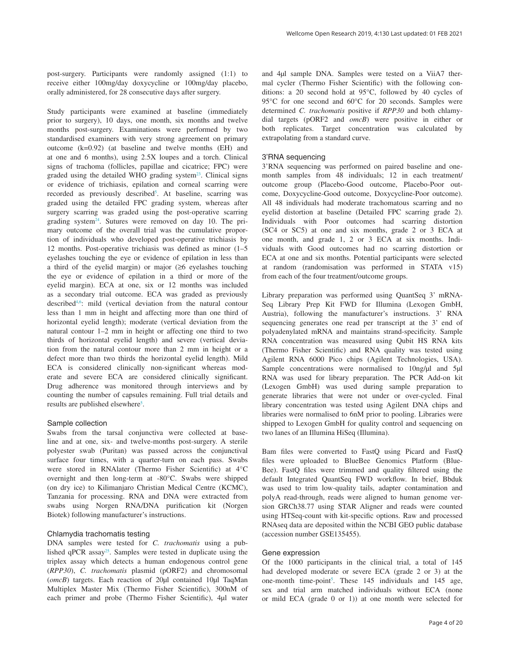post-surgery. Participants were randomly assigned (1:1) to receive either 100mg/day doxycycline or 100mg/day placebo, orally administered, for 28 consecutive days after surgery.

Study participants were examined at baseline (immediately prior to surgery), 10 days, one month, six months and twelve months post-surgery. Examinations were performed by two standardised examiners with very strong agreement on primary outcome (k=0.92) (at baseline and twelve months (EH) and at one and 6 months), using 2.5X loupes and a torch. Clinical signs of trachoma (follicles, papillae and cicatrice; FPC) were graded using the detailed WHO grading system $^{23}$  $^{23}$  $^{23}$ . Clinical signs or evidence of trichiasis, epilation and corneal scarring were recorded as previously described<sup>[5](#page-13-0)</sup>. At baseline, scarring was graded using the detailed FPC grading system, whereas after surgery scarring was graded using the post-operative scarring grading system<sup>24</sup>. Sutures were removed on day 10. The primary outcome of the overall trial was the cumulative proportion of individuals who developed post-operative trichiasis by 12 months. Post-operative trichiasis was defined as minor (1–5 eyelashes touching the eye or evidence of epilation in less than a third of the eyelid margin) or major (≥6 eyelashes touching the eye or evidence of epilation in a third or more of the eyelid margin). ECA at one, six or 12 months was included as a secondary trial outcome. ECA was graded as previously described<sup>4,6</sup>: mild (vertical deviation from the natural contour less than 1 mm in height and affecting more than one third of horizontal eyelid length); moderate (vertical deviation from the natural contour 1–2 mm in height or affecting one third to two thirds of horizontal eyelid length) and severe (vertical deviation from the natural contour more than 2 mm in height or a defect more than two thirds the horizontal eyelid length). Mild ECA is considered clinically non-significant whereas moderate and severe ECA are considered clinically significant. Drug adherence was monitored through interviews and by counting the number of capsules remaining. Full trial details and results are published elsewhere<sup>[5](#page-13-0)</sup>.

# Sample collection

Swabs from the tarsal conjunctiva were collected at baseline and at one, six- and twelve-months post-surgery. A sterile polyester swab (Puritan) was passed across the conjunctival surface four times, with a quarter-turn on each pass. Swabs were stored in RNAlater (Thermo Fisher Scientific) at 4°C overnight and then long-term at -80°C. Swabs were shipped (on dry ice) to Kilimanjaro Christian Medical Centre (KCMC), Tanzania for processing. RNA and DNA were extracted from swabs using Norgen RNA/DNA purification kit (Norgen Biotek) following manufacturer's instructions.

# Chlamydia trachomatis testing

DNA samples were tested for *C. trachomatis* using a published qPCR assa[y25](#page-14-0). Samples were tested in duplicate using the triplex assay which detects a human endogenous control gene (*RPP30*), *C. trachomatis* plasmid (pORF2) and chromosomal (*omcB*) targets. Each reaction of 20μl contained 10μl TaqMan Multiplex Master Mix (Thermo Fisher Scientific), 300nM of each primer and probe (Thermo Fisher Scientific), 4μl water and 4μl sample DNA. Samples were tested on a ViiA7 thermal cycler (Thermo Fisher Scientific) with the following conditions: a 20 second hold at 95°C, followed by 40 cycles of 95°C for one second and 60°C for 20 seconds. Samples were determined *C. trachomatis* positive if *RPP30* and both chlamydial targets (pORF2 and *omcB*) were positive in either or both replicates. Target concentration was calculated by extrapolating from a standard curve.

# 3'RNA sequencing

3'RNA sequencing was performed on paired baseline and onemonth samples from 48 individuals; 12 in each treatment/ outcome group (Placebo-Good outcome, Placebo-Poor outcome, Doxycycline-Good outcome, Doxycycline-Poor outcome). All 48 individuals had moderate trachomatous scarring and no eyelid distortion at baseline (Detailed FPC scarring grade 2). Individuals with Poor outcomes had scarring distortion (SC4 or SC5) at one and six months, grade 2 or 3 ECA at one month, and grade 1, 2 or 3 ECA at six months. Individuals with Good outcomes had no scarring distortion or ECA at one and six months. Potential participants were selected at random (randomisation was performed in STATA v15) from each of the four treatment/outcome groups.

Library preparation was performed using QuantSeq 3' mRNA-Seq Library Prep Kit FWD for Illumina (Lexogen GmbH, Austria), following the manufacturer's instructions. 3' RNA sequencing generates one read per transcript at the 3' end of polyadenylated mRNA and maintains strand-specificity. Sample RNA concentration was measured using Qubit HS RNA kits (Thermo Fisher Scientific) and RNA quality was tested using Agilent RNA 6000 Pico chips (Agilent Technologies, USA). Sample concentrations were normalised to 10ng/μl and 5μl RNA was used for library preparation. The PCR Add-on kit (Lexogen GmbH) was used during sample preparation to generate libraries that were not under or over-cycled. Final library concentration was tested using Agilent DNA chips and libraries were normalised to 6nM prior to pooling. Libraries were shipped to Lexogen GmbH for quality control and sequencing on two lanes of an Illumina HiSeq (Illumina).

Bam files were converted to FastQ using Picard and FastQ files were uploaded to BlueBee Genomics Platform (Blue-Bee). FastQ files were trimmed and quality filtered using the default Integrated QuantSeq FWD workflow. In brief, Bbduk was used to trim low-quality tails, adapter contamination and polyA read-through, reads were aligned to human genome version GRCh38.77 using STAR Aligner and reads were counted using HTSeq-count with kit-specific options. Raw and processed RNAseq data are deposited within the NCBI GEO public database (accession number GSE135455).

# Gene expression

Of the 1000 participants in the clinical trial, a total of 145 had developed moderate or severe ECA (grade 2 or 3) at the one-month time-point<sup>5</sup>. These  $145$  individuals and  $145$  age, sex and trial arm matched individuals without ECA (none or mild ECA (grade 0 or 1)) at one month were selected for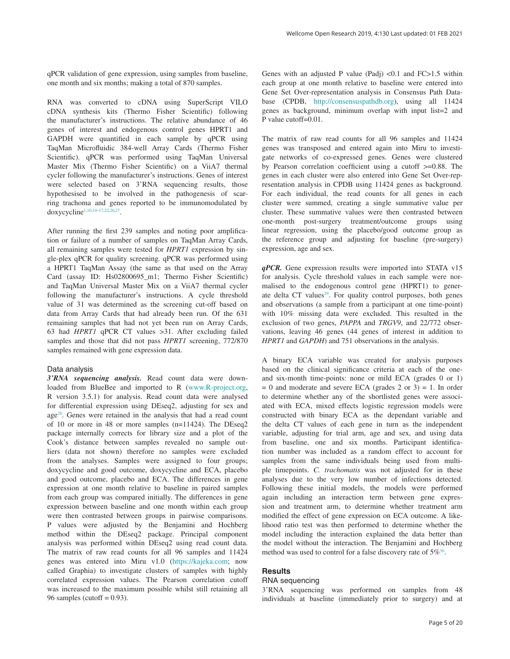qPCR validation of gene expression, using samples from baseline, one month and six months; making a total of 870 samples.

RNA was converted to cDNA using SuperScript VILO cDNA synthesis kits (Thermo Fisher Scientific) following the manufacturer's instructions. The relative abundance of 46 genes of interest and endogenous control genes HPRT1 and GAPDH were quantified in each sample by qPCR using TaqMan Microfluidic 384-well Array Cards (Thermo Fisher Scientific). qPCR was performed using TaqMan Universal Master Mix (Thermo Fisher Scientific) on a ViiA7 thermal cycler following the manufacturer's instructions. Genes of interest were selected based on 3'RNA sequencing results, those hypothesised to be involved in the pathogenesis of scarring trachoma and genes reported to be immunomodulated by doxycycline<sup>1,10,14-17,22,26,27</sup>.

After running the first 239 samples and noting poor amplification or failure of a number of samples on TaqMan Array Cards, all remaining samples were tested for *HPRT1* expression by single-plex qPCR for quality screening*.* qPCR was performed using a HPRT1 TaqMan Assay (the same as that used on the Array Card (assay ID: Hs02800695\_m1; Thermo Fisher Scientific) and TaqMan Universal Master Mix on a ViiA7 thermal cycler following the manufacturer's instructions. A cycle threshold value of 31 was determined as the screening cut-off based on data from Array Cards that had already been run. Of the 631 remaining samples that had not yet been run on Array Cards, 63 had *HPRT1* qPCR CT values >31. After excluding failed samples and those that did not pass *HPRT1* screening, 772/870 samples remained with gene expression data.

#### Data analysis

*3'RNA sequencing analysis.* Read count data were downloaded from BlueBee and imported to R [\(www.R-project.org](http://www.r-project.org/), R version 3.5.1) for analysis. Read count data were analysed for differential expression using DEseq2, adjusting for sex and ag[e28](#page-14-0). Genes were retained in the analysis that had a read count of 10 or more in 48 or more samples (n=11424). The DEseq2 package internally corrects for library size and a plot of the Cook's distance between samples revealed no sample outliers (data not shown) therefore no samples were excluded from the analyses. Samples were assigned to four groups; doxycycline and good outcome, doxycycline and ECA, placebo and good outcome, placebo and ECA. The differences in gene expression at one month relative to baseline in paired samples from each group was compared initially. The differences in gene expression between baseline and one month within each group were then contrasted between groups in pairwise comparisons. P values were adjusted by the Benjamini and Hochberg method within the DEseq2 package. Principal component analysis was performed within DEseq2 using read count data. The matrix of raw read counts for all 96 samples and 11424 genes was entered into Miru v1.0 [\(https://kajeka.com](https://kajeka.com/); now called Graphia) to investigate clusters of samples with highly correlated expression values. The Pearson correlation cutoff was increased to the maximum possible whilst still retaining all 96 samples (cutoff  $= 0.93$ ).

Genes with an adjusted P value (Padj) <0.1 and FC>1.5 within each group at one month relative to baseline were entered into Gene Set Over-representation analysis in Consensus Path Database (CPDB, [http://consensuspathdb.org](http://consensuspathdb.org/)), using all 11424 genes as background, minimum overlap with input list=2 and P value cutoff=0.01.

The matrix of raw read counts for all 96 samples and 11424 genes was transposed and entered again into Miru to investigate networks of co-expressed genes. Genes were clustered by Pearson correlation coefficient using a cutoff >=0.88. The genes in each cluster were also entered into Gene Set Over-representation analysis in CPDB using 11424 genes as background. For each individual, the read counts for all genes in each cluster were summed, creating a single summative value per cluster. These summative values were then contrasted between one-month post-surgery treatment/outcome groups using linear regression, using the placebo/good outcome group as the reference group and adjusting for baseline (pre-surgery) expression, age and sex.

*qPCR.* Gene expression results were imported into STATA v15 for analysis. Cycle threshold values in each sample were normalised to the endogenous control gene (HPRT1) to generate delta CT values<sup>29</sup>. For quality control purposes, both genes and observations (a sample from a participant at one time-point) with 10% missing data were excluded. This resulted in the exclusion of two genes, *PAPPA* and *TRGV9*, and 22/772 observations, leaving 46 genes (44 genes of interest in addition to *HPRT1* and *GAPDH*) and 751 observations in the analysis.

A binary ECA variable was created for analysis purposes based on the clinical significance criteria at each of the oneand six-month time-points: none or mild ECA (grades 0 or 1)  $= 0$  and moderate and severe ECA (grades 2 or 3)  $= 1$ . In order to determine whether any of the shortlisted genes were associated with ECA, mixed effects logistic regression models were constructed with binary ECA as the dependant variable and the delta CT values of each gene in turn as the independent variable, adjusting for trial arm, age and sex, and using data from baseline, one and six months. Participant identification number was included as a random effect to account for samples from the same individuals being used from multiple timepoints. *C. trachomatis* was not adjusted for in these analyses due to the very low number of infections detected. Following these initial models, the models were performed again including an interaction term between gene expression and treatment arm, to determine whether treatment arm modified the effect of gene expression on ECA outcome. A likelihood ratio test was then performed to determine whether the model including the interaction explained the data better than the model without the interaction. The Benjamini and Hochberg method was used to control for a false discovery rate of  $5\%$ <sup>30</sup>.

# **Results**

#### RNA sequencing

3'RNA sequencing was performed on samples from 48 individuals at baseline (immediately prior to surgery) and at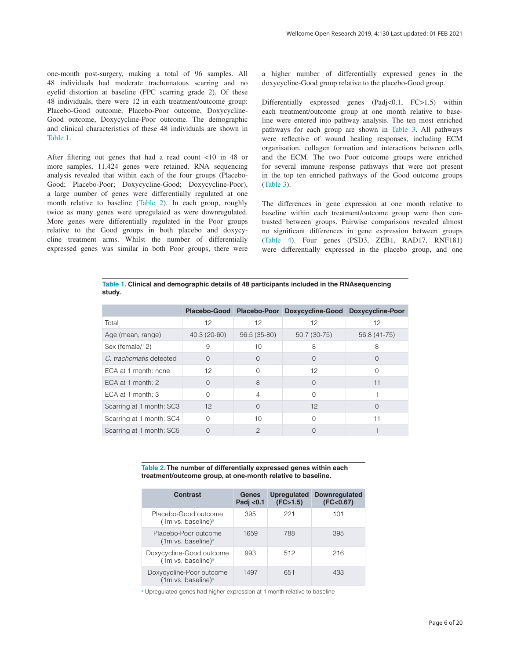one-month post-surgery, making a total of 96 samples. All 48 individuals had moderate trachomatous scarring and no eyelid distortion at baseline (FPC scarring grade 2). Of these 48 individuals, there were 12 in each treatment/outcome group: Placebo-Good outcome, Placebo-Poor outcome, Doxycycline-Good outcome, Doxycycline-Poor outcome. The demographic and clinical characteristics of these 48 individuals are shown in Table 1.

After filtering out genes that had a read count <10 in 48 or more samples, 11,424 genes were retained. RNA sequencing analysis revealed that within each of the four groups (Placebo-Good; Placebo-Poor; Doxycycline-Good; Doxycycline-Poor), a large number of genes were differentially regulated at one month relative to baseline (Table 2). In each group, roughly twice as many genes were upregulated as were downregulated. More genes were differentially regulated in the Poor groups relative to the Good groups in both placebo and doxycycline treatment arms. Whilst the number of differentially expressed genes was similar in both Poor groups, there were a higher number of differentially expressed genes in the doxycycline-Good group relative to the placebo-Good group.

Differentially expressed genes (Padj<0.1, FC>1.5) within each treatment/outcome group at one month relative to baseline were entered into pathway analysis. The ten most enriched pathways for each group are shown in [Table 3](#page-6-0). All pathways were reflective of wound healing responses, including ECM organisation, collagen formation and interactions between cells and the ECM. The two Poor outcome groups were enriched for several immune response pathways that were not present in the top ten enriched pathways of the Good outcome groups ([Table 3](#page-6-0)).

The differences in gene expression at one month relative to baseline within each treatment/outcome group were then contrasted between groups. Pairwise comparisons revealed almost no significant differences in gene expression between groups ([Table 4](#page-6-0)). Four genes (PSD3, ZEB1, RAD17, RNF181) were differentially expressed in the placebo group, and one

**Table 1. Clinical and demographic details of 48 participants included in the RNAsequencing study.**

|                          | Placebo-Good |               | Placebo-Poor Doxycycline-Good Doxycycline-Poor |              |
|--------------------------|--------------|---------------|------------------------------------------------|--------------|
| Total                    | 12           | 12            | 12                                             | 12           |
| Age (mean, range)        | 40.3 (20-60) | 56.5 (35-80)  | 50.7 (30-75)                                   | 56.8 (41-75) |
| Sex (female/12)          | 9            | 10            | 8                                              | 8            |
| C. trachomatis detected  | $\Omega$     | $\Omega$      | $\Omega$                                       | $\cup$       |
| ECA at 1 month: none     | 12           | Ω             | 12                                             |              |
| ECA at 1 month: $2$      | ∩            | 8             | $\Omega$                                       | 11           |
| ECA at 1 month: $3$      | $\cap$       | 4             | Ω                                              |              |
| Scarring at 1 month: SC3 | 12           | $\Omega$      | 12                                             |              |
| Scarring at 1 month: SC4 | $\cap$       | 10            | ∩                                              | 11           |
| Scarring at 1 month: SC5 |              | $\mathcal{P}$ | O                                              |              |

**Table 2. The number of differentially expressed genes within each treatment/outcome group, at one-month relative to baseline.**

| Contrast                                                   | Genes<br>Padj $< 0.1$ | <b>Upregulated</b><br>(FC>1.5) | <b>Downregulated</b><br>(FC < 0.67) |
|------------------------------------------------------------|-----------------------|--------------------------------|-------------------------------------|
| Placebo-Good outcome<br>(1m vs. baseline) <sup>a</sup>     | 395                   | 221                            | 101                                 |
| Placebo-Poor outcome<br>(1m vs. baseline) <sup>a</sup>     | 1659                  | 788                            | 395                                 |
| Doxycycline-Good outcome<br>(1m vs. baseline) <sup>a</sup> | 993                   | 512                            | 216                                 |
| Doxycycline-Poor outcome<br>(1m vs. baseline) <sup>a</sup> | 1497                  | 651                            | 433                                 |

<sup>a</sup> Upregulated genes had higher expression at 1 month relative to baseline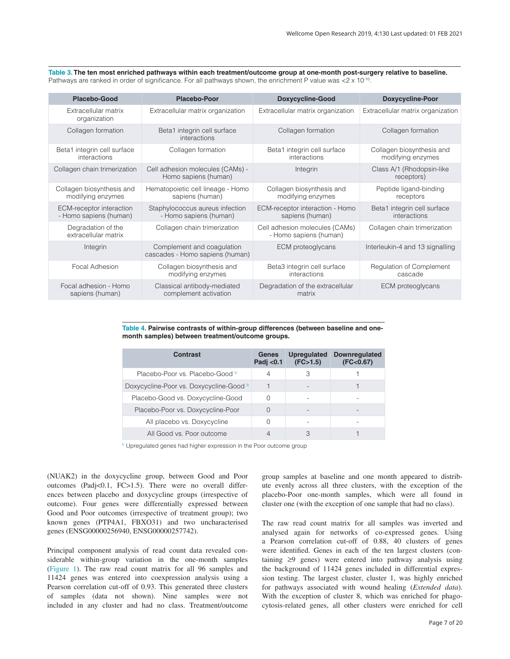<span id="page-6-0"></span>**Table 3. The ten most enriched pathways within each treatment/outcome group at one-month post-surgery relative to baseline.**  Pathways are ranked in order of significance. For all pathways shown, the enrichment P value was <2 x 10<sup>-10</sup>.

| <b>Placebo-Good</b>                                       | <b>Placebo-Poor</b>                                           | <b>Doxycycline-Good</b>                                  | <b>Doxycycline-Poor</b>                        |
|-----------------------------------------------------------|---------------------------------------------------------------|----------------------------------------------------------|------------------------------------------------|
| Extracellular matrix<br>organization                      | Extracellular matrix organization                             | Extracellular matrix organization                        | Extracellular matrix organization              |
| Collagen formation                                        | Beta1 integrin cell surface<br>interactions                   | Collagen formation                                       | Collagen formation                             |
| Beta1 integrin cell surface<br>interactions               | Collagen formation                                            | Beta1 integrin cell surface<br>interactions              | Collagen biosynthesis and<br>modifying enzymes |
| Collagen chain trimerization                              | Cell adhesion molecules (CAMs) -<br>Homo sapiens (human)      | Integrin                                                 | Class A/1 (Rhodopsin-like<br>receptors)        |
| Collagen biosynthesis and<br>modifying enzymes            | Hematopoietic cell lineage - Homo<br>sapiens (human)          | Collagen biosynthesis and<br>modifying enzymes           | Peptide ligand-binding<br>receptors            |
| <b>ECM-receptor interaction</b><br>- Homo sapiens (human) | Staphylococcus aureus infection<br>- Homo sapiens (human)     | ECM-receptor interaction - Homo<br>sapiens (human)       | Beta1 integrin cell surface<br>interactions    |
| Degradation of the<br>extracellular matrix                | Collagen chain trimerization                                  | Cell adhesion molecules (CAMs)<br>- Homo sapiens (human) | Collagen chain trimerization                   |
| Integrin                                                  | Complement and coagulation<br>cascades - Homo sapiens (human) | ECM proteoglycans                                        | Interleukin-4 and 13 signalling                |
| Focal Adhesion                                            | Collagen biosynthesis and<br>modifying enzymes                | Beta3 integrin cell surface<br>interactions              | Regulation of Complement<br>cascade            |
| Focal adhesion - Homo<br>sapiens (human)                  | Classical antibody-mediated<br>complement activation          | Degradation of the extracellular<br>matrix               | ECM proteoglycans                              |

#### **Table 4. Pairwise contrasts of within-group differences (between baseline and onemonth samples) between treatment/outcome groups.**

| Contrast                                | Genes<br>Padj $< 0.1$ | <b>Upregulated</b><br>(FC>1.5) | <b>Downregulated</b><br>(FC < 0.67) |
|-----------------------------------------|-----------------------|--------------------------------|-------------------------------------|
| Placebo-Poor vs. Placebo-Good b         | 4                     | 3                              |                                     |
| Doxycycline-Poor vs. Doxycycline-Good b |                       |                                |                                     |
| Placebo-Good vs. Doxycycline-Good       | O                     |                                |                                     |
| Placebo-Poor vs. Doxycycline-Poor       |                       |                                |                                     |
| All placebo vs. Doxycycline             |                       |                                |                                     |
| All Good vs. Poor outcome               |                       | 3                              |                                     |

**b** Upregulated genes had higher expression in the Poor outcome group

(NUAK2) in the doxycycline group, between Good and Poor outcomes (Padj<0.1, FC>1.5). There were no overall differences between placebo and doxycycline groups (irrespective of outcome). Four genes were differentially expressed between Good and Poor outcomes (irrespective of treatment group); two known genes (PTP4A1, FBXO31) and two uncharacterised genes (ENSG00000256940, ENSG00000257742).

Principal component analysis of read count data revealed considerable within-group variation in the one-month samples ([Figure 1](#page-7-0)). The raw read count matrix for all 96 samples and 11424 genes was entered into coexpression analysis using a Pearson correlation cut-off of 0.93. This generated three clusters of samples (data not shown). Nine samples were not included in any cluster and had no class. Treatment/outcome

group samples at baseline and one month appeared to distribute evenly across all three clusters, with the exception of the placebo-Poor one-month samples, which were all found in cluster one (with the exception of one sample that had no class).

The raw read count matrix for all samples was inverted and analysed again for networks of co-expressed genes. Using a Pearson correlation cut-off of 0.88, 40 clusters of genes were identified. Genes in each of the ten largest clusters (containing ≥9 genes) were entered into pathway analysis using the background of 11424 genes included in differential expression testing. The largest cluster, cluster 1, was highly enriched for pathways associated with wound healing (*Extended data*). With the exception of cluster 8, which was enriched for phagocytosis-related genes, all other clusters were enriched for cell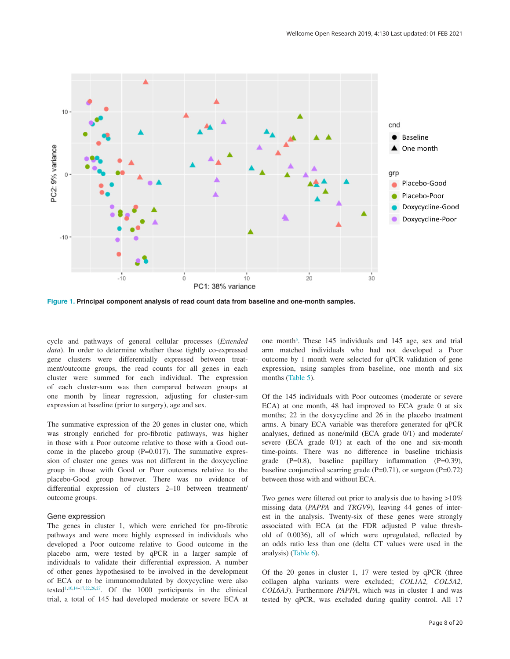<span id="page-7-0"></span>

**Figure 1. Principal component analysis of read count data from baseline and one-month samples.**

cycle and pathways of general cellular processes (*Extended data*). In order to determine whether these tightly co-expressed gene clusters were differentially expressed between treatment/outcome groups, the read counts for all genes in each cluster were summed for each individual. The expression of each cluster-sum was then compared between groups at one month by linear regression, adjusting for cluster-sum expression at baseline (prior to surgery), age and sex.

The summative expression of the 20 genes in cluster one, which was strongly enriched for pro-fibrotic pathways, was higher in those with a Poor outcome relative to those with a Good outcome in the placebo group (P=0.017). The summative expression of cluster one genes was not different in the doxycycline group in those with Good or Poor outcomes relative to the placebo-Good group however. There was no evidence of differential expression of clusters 2–10 between treatment/ outcome groups.

#### Gene expression

The genes in cluster 1, which were enriched for pro-fibrotic pathways and were more highly expressed in individuals who developed a Poor outcome relative to Good outcome in the placebo arm, were tested by qPCR in a larger sample of individuals to validate their differential expression. A number of other genes hypothesised to be involved in the development of ECA or to be immunomodulated by doxycycline were also tested[1](#page-13-0),[10,14–17](#page-13-0),[22](#page-13-0)[,26,27.](#page-14-0) Of the 1000 participants in the clinical trial, a total of 145 had developed moderate or severe ECA at

one month<sup>5</sup>. These 145 individuals and 145 age, sex and trial arm matched individuals who had not developed a Poor outcome by 1 month were selected for qPCR validation of gene expression, using samples from baseline, one month and six months [\(Table 5\)](#page-8-0).

Of the 145 individuals with Poor outcomes (moderate or severe ECA) at one month, 48 had improved to ECA grade 0 at six months; 22 in the doxycycline and 26 in the placebo treatment arms. A binary ECA variable was therefore generated for qPCR analyses, defined as none/mild (ECA grade 0/1) and moderate/ severe (ECA grade 0/1) at each of the one and six-month time-points. There was no difference in baseline trichiasis grade (P=0.8), baseline papillary inflammation (P=0.39), baseline conjunctival scarring grade  $(P=0.71)$ , or surgeon  $(P=0.72)$ between those with and without ECA.

Two genes were filtered out prior to analysis due to having >10% missing data (*PAPPA* and *TRGV9*), leaving 44 genes of interest in the analysis. Twenty-six of these genes were strongly associated with ECA (at the FDR adjusted P value threshold of 0.0036), all of which were upregulated, reflected by an odds ratio less than one (delta CT values were used in the analysis) ([Table 6](#page-9-0)).

Of the 20 genes in cluster 1, 17 were tested by qPCR (three collagen alpha variants were excluded; *COL1A2, COL5A2, COL6A3*). Furthermore *PAPPA*, which was in cluster 1 and was tested by qPCR, was excluded during quality control. All 17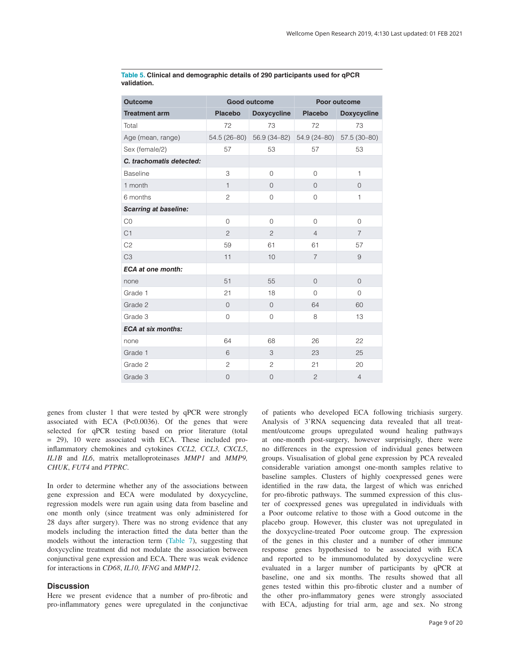| <b>Outcome</b>               |                | <b>Good outcome</b>       |                | Poor outcome       |
|------------------------------|----------------|---------------------------|----------------|--------------------|
| <b>Treatment arm</b>         | <b>Placebo</b> | <b>Doxycycline</b>        | <b>Placebo</b> | <b>Doxycycline</b> |
| Total                        | 72             | 73                        | 72             | 73                 |
| Age (mean, range)            |                | 54.5 (26-80) 56.9 (34-82) | 54.9 (24-80)   | $57.5(30-80)$      |
| Sex (female/2)               | 57             | 53                        | 57             | 53                 |
| C. trachomatis detected:     |                |                           |                |                    |
| <b>Baseline</b>              | 3              | $\mathbf 0$               | $\overline{0}$ | $\mathbf{1}$       |
| 1 month                      | $\mathbf{1}$   | $\overline{0}$            | $\overline{0}$ | $\overline{0}$     |
| 6 months                     | $\overline{c}$ | 0                         | $\overline{0}$ | $\mathbf{1}$       |
| <b>Scarring at baseline:</b> |                |                           |                |                    |
| CO                           | 0              | 0                         | 0              | 0                  |
| C1                           | $\overline{c}$ | $\overline{c}$            | $\overline{4}$ | $\overline{7}$     |
| C <sub>2</sub>               | 59             | 61                        | 61             | 57                 |
| C <sub>3</sub>               | 11             | 10                        | $\overline{7}$ | 9                  |
| <b>ECA at one month:</b>     |                |                           |                |                    |
| none                         | 51             | 55                        | $\overline{0}$ | $\overline{0}$     |
| Grade 1                      | 21             | 18                        | $\Omega$       | $\Omega$           |
| Grade 2                      | $\mathbf{O}$   | $\overline{0}$            | 64             | 60                 |
| Grade 3                      | $\overline{0}$ | 0                         | 8              | 13                 |
| <b>ECA at six months:</b>    |                |                           |                |                    |
| none                         | 64             | 68                        | 26             | 22                 |
| Grade 1                      | 6              | 3                         | 23             | 25                 |
| Grade 2                      | $\overline{c}$ | $\overline{c}$            | 21             | 20                 |
| Grade 3                      | $\mathbf 0$    | 0                         | $\overline{c}$ | $\overline{4}$     |

<span id="page-8-0"></span>**Table 5. Clinical and demographic details of 290 participants used for qPCR validation.**

genes from cluster 1 that were tested by qPCR were strongly associated with ECA (P<0.0036). Of the genes that were selected for qPCR testing based on prior literature (total = 29), 10 were associated with ECA. These included proinflammatory chemokines and cytokines *CCL2, CCL3, CXCL5*, *IL1B* and *IL6*, matrix metalloproteinases *MMP1* and *MMP9, CHUK*, *FUT4* and *PTPRC*.

In order to determine whether any of the associations between gene expression and ECA were modulated by doxycycline, regression models were run again using data from baseline and one month only (since treatment was only administered for 28 days after surgery). There was no strong evidence that any models including the interaction fitted the data better than the models without the interaction term [\(Table 7](#page-11-0)), suggesting that doxycycline treatment did not modulate the association between conjunctival gene expression and ECA. There was weak evidence for interactions in *CD68*, *IL10, IFNG* and *MMP12*.

#### **Discussion**

Here we present evidence that a number of pro-fibrotic and pro-inflammatory genes were upregulated in the conjunctivae of patients who developed ECA following trichiasis surgery. Analysis of 3'RNA sequencing data revealed that all treatment/outcome groups upregulated wound healing pathways at one-month post-surgery, however surprisingly, there were no differences in the expression of individual genes between groups. Visualisation of global gene expression by PCA revealed considerable variation amongst one-month samples relative to baseline samples. Clusters of highly coexpressed genes were identified in the raw data, the largest of which was enriched for pro-fibrotic pathways. The summed expression of this cluster of coexpressed genes was upregulated in individuals with a Poor outcome relative to those with a Good outcome in the placebo group. However, this cluster was not upregulated in the doxycycline-treated Poor outcome group. The expression of the genes in this cluster and a number of other immune response genes hypothesised to be associated with ECA and reported to be immunomodulated by doxycycline were evaluated in a larger number of participants by qPCR at baseline, one and six months. The results showed that all genes tested within this pro-fibrotic cluster and a number of the other pro-inflammatory genes were strongly associated with ECA, adjusting for trial arm, age and sex. No strong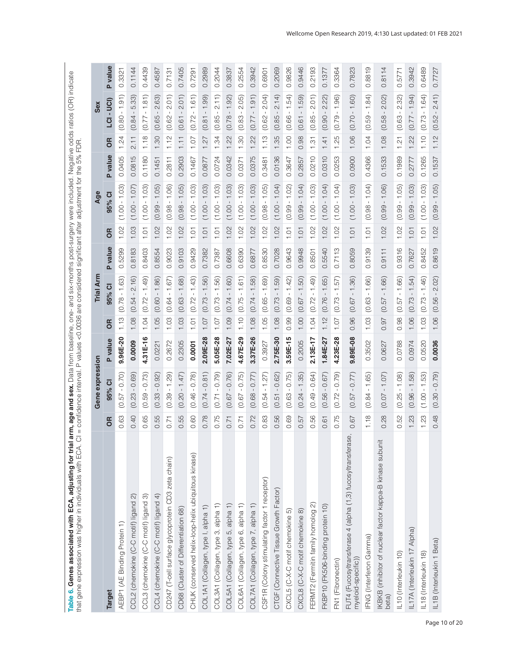<span id="page-9-0"></span>Table 6. Genes associated with ECA, adjusting for trial arm, age and sex. Data from baseline, one- and six-months post-surgery were included. Negative odds ratios (OR) indicate<br>that gene expression was higher in individual **Table 6. Genes associated with ECA, adjusting for trial arm, age and sex.** Data from baseline, one- and six-months post-surgery were included. Negative odds ratios (OR) indicate that gene expression was higher in individuals with ECA. CI = confidence interval. P values <0.0036 are considered significant after adjustment for the 5% FDR.

|                                                                                   |                     | Gene expression             |                |           | Trial Arm                      |            |      | Age                  |         | Sex                                                                          |   |                |
|-----------------------------------------------------------------------------------|---------------------|-----------------------------|----------------|-----------|--------------------------------|------------|------|----------------------|---------|------------------------------------------------------------------------------|---|----------------|
| <b>Target</b>                                                                     | <b>S</b>            | 95% CI                      | <b>P</b> value | <b>OR</b> | $\overline{\mathbf{C}}$<br>95% | P value    | 6R   | 95% Cl               | P value | - UCI)<br>$\overline{a}$<br><b>OR</b>                                        |   | <b>P</b> value |
| AEBP1 (AE Binding Protein 1)                                                      | 0.63                | $-0.70$<br>(0.57)           | $9.96E - 20$   | 1.13      | $(0.78 - 1.63)$                | 0.5299     | 1.02 | $(1.00 - 1.03)$      | 0.0405  | $-1.91$<br>(0.80)<br>1.24                                                    |   | 0.3321         |
| CCL2 (chemokine (C-C motif) ligand 2)                                             | 0.40                | 0.69)<br>(0.23)             | 0.0009         | 1.08      | 2.16<br>(0.54)                 | .8183<br>ö | 1.03 | $(1.00 - 1.07)$      | 0.0815  | 5.33)<br>(0.84)<br>$\frac{1}{2}$                                             |   | 0.1144         |
| CCL3 (chemokine (C-C motif) ligand 3)                                             | 65<br>o             | $-0.73$<br>(0.59)           | 4.31E-16       | 1.04      | $-1.49$<br>(0.72)              | 0.8403     | 1.01 | $(1.00 - 1.03)$      | 0.1180  | $-1.81$<br>(0.77)<br>1.18                                                    |   | 0.4439         |
| CCL4 (chemokine (C-C motif) ligand 4)                                             | 55<br>ö             | $-0.92$<br>(0.33)           | 0.0221         | 1.05      | $-1.86$<br>(0.60)              | 0.8554     | 1.02 | $-1.05$<br>(0.99)    | 0.1451  | 2.63)<br>(0.65)<br>1.30                                                      |   | 0.4587         |
| CD247 (T-cell surface glycoprotein CD3 zeta chain)                                | 0.71                | $-1.29$<br>(0.39)           | 0.2672         | 1.03      | $-1.67$<br>(0.64)              | 0.9023     | 1.02 | $-1.06$<br>(0.98.    | 0.2811  | 2.01<br>$\mathbf I$<br>(0.62)<br>1.12                                        |   | 0.7131         |
| CD68 (Cluster of Differentiation 68)                                              | 55.<br>ö            | 1.47<br>$\bar{1}$<br>(0.20) | 0.2305         | 1.03      | 1.68)<br>(0.63)                | 0.9103     | 1.02 | $-1.05$<br>(0.98)    | 0.2903  | 2.01<br>$\mathbf I$<br>(0.61)<br>1.11                                        |   | 0.7405         |
| CHUK (conserved helix-loop-helix ubiquitous kinase)                               | 0.60                | $-0.78$<br>(0.46)           | 0.0001         | 1.01      | $-1.43$<br>(0.72)              | 0.9429     | 10.1 | $(1.00 - 1.03)$      | 0.1467  | $-1.61$<br>(0.72)<br>1.07                                                    |   | 0.7291         |
| COL1A1 (Collagen, type I, alpha 1)                                                | 0.78                | 0.81)<br>(0.74)             | 2.09E-28       | 1.07      | $-1.56$<br>(0.73)              | 0.7382     | 1.01 | $(1.00 - 1.03)$      | 0.0877  | 1.99<br>$\mathbf{I}$<br>(0.81)<br>1.27                                       |   | 0.2989         |
| COL3A1 (Collagen, type 3, alpha 1)                                                | 0.75                | $-0.79$<br>(0.71)           | $5.05E - 28$   | 1.07      | $-1.56$<br>(0.73)              | 0.7387     | 1.01 | $(1.00 - 1.03)$      | 0.0724  | 2.11)<br>$\mathbf{I}$<br>(0.85)<br>1.34                                      |   | 0.2044         |
| COL5A1 (Collagen, type 5, alpha 1)                                                | 0.71                | 0.76<br>(0.67)              | 7.02E-27       | 1.09      | $-1.60$<br>(0.74)              | 0.6608     | 1.02 | $-1.03$<br>$(1.00 -$ | 0.0342  | 1.92<br>(0.78)<br>1.22                                                       |   | 0.3837         |
| COL6A1 (Collagen, type 6, alpha 1)                                                | 0.71                | $-0.75$<br>(0.67)           | 4.67E-29       | 1.10      | $-1.61$<br>(0.75)              | 0.6390     | 1.02 | $(1.00 - 1.03)$      | 0.0371  | 2.05)<br>$\mathbf{I}$<br>(0.83)<br>1.30                                      |   | 0.2554         |
| COL7A1 (Collagen, type 7, alpha 1)                                                | 0.72                | $-0.77$<br>(0.68)           | 3.37E-26       | 1.08      | $-1.58$<br>(0.74)              | 0.6877     | 1.02 | $-1.03$<br>$(1.00 -$ | 0.0375  | $-1.91$<br>(0.77)<br>1.22                                                    |   | 0.3942         |
| CSF1R (Colony stimulating factor 1 receptor)                                      | 83<br>O             | $-1.27$<br>(0.54)           | 0.3927         | 1.05      | $-1.69$<br>$(0.65 -$           | 0.8530     | 1.02 | $(0.98 - 1.05)$      | 0.3481  | 2.04)<br>$\mathbf{I}$<br>(0.62)<br>1.13                                      |   | 0.6901         |
| CTGF (Connective Tissue Growth Factor)                                            | 56<br>ö             | $-0.62$<br>(0.51)           | 2.75E-30       | 1.08      | $-1.59$<br>(0.73)              | 0.7028     | 1.02 | $(1.00 - 1.04)$      | 0.0136  | 2.14)<br>$\mathbf{I}$<br>(0.85)<br>1.35                                      |   | 0.2069         |
| CXCL5 (C-X-C motif chemokine 5)                                                   | 69<br>ö             | $-0.75$<br>(0.63)           | 3.59E-15       | 0.99      | $-1.42$<br>(0.69)              | 0.9643     | 1.01 | $(0.99 - 1.02)$      | 0.3647  | $-1.54$<br>(0.66)<br>1.00                                                    |   | 0.9826         |
| CXCL8 (C-X-C motif chemokine 8)                                                   | 57<br>Ö             | $-1.35$<br>(0.24)           | 0.2005         | 1.00      | $-1.50$<br>(0.67)              | 0.9948     | 1.01 | $-1.04$<br>(0.99)    | 0.2857  | $-1.59$<br>(0.61)<br>0.98                                                    |   | 0.9446         |
| FERMT2 (Fermitin family homolog 2)                                                | 56<br>$\circ$       | $-0.64$<br>(0.49)           | 2.13E-17       | 1.04      | $-1.49$<br>(0.72)              | 0.8501     | 1.02 | $(1.00 - 1.03)$      | 0.0210  | 2.01<br>$\mathbf I$<br>(0.85)<br>1.31                                        |   | 0.2193         |
| FKBP10 (FK506-binding protein 10)                                                 | $\overline{6}$<br>Ö | $-0.67$<br>(0.56)           | 1.84E-27       | 1.12      | $-1.65$<br>(0.76)              | 0.5540     | 1.02 | $(1.00 - 1.04)$      | 0.0310  | 2.22)<br>$\,$ $\,$<br>(0.90)<br>1.41                                         |   | 0.1377         |
| FN1 (Fibronectin)                                                                 | 0.75                | $-0.79$<br>(0.72)           | 4.23E-28       | 1.07      | $-1.57$<br>(0.73)              | 0.7113     | 1.02 | $(1.00 - 1.04)$      | 0.0253  | $-1.96$<br>(0.79)<br>1.25                                                    |   | 0.3364         |
| FUT4 (Fucosyltransferase 4 (alpha (1,3) fucosyltransferase,<br>myeloid-specific)) | 0.67                | $-0.77$<br>(0.57)           | 9.89E-08       | 0.96      | $-1.36$<br>(0.67)              | 0.8059     | 1.01 | $(1.00 - 1.03)$      | 0.0900  | $-1.60$<br>(0.70)<br>1.06                                                    |   | 0.7823         |
| <b>FNG</b> (Interferon Gamma)                                                     | 1.18                | $-1.65$<br>(0.84)           | 0.3502         | 1.03      | $-1.66$<br>(0.63)              | 0.9139     | 101  | $-1.04$<br>(0.98)    | 0.4366  | 1.84<br>$\mathbf{I}$<br>59<br>$\dot{\circ}$<br>1.04                          |   | 0.8819         |
| KBKB (inhibitor of nuclear factor kappa-B kinase subunit<br>beta)                 | 28<br>$\circ$       | $-1.07$<br>(0.07)           | 0.0627         | 0.97      | $-1.66$<br>(0.57)              | 0.9111     | 1.02 | $-1.06$<br>(0.99)    | 0.1533  | 2.02)<br>$\,$ $\,$<br>(0.58)<br>1.08                                         |   | 0.8114         |
| IL10 (Interleukin 10)                                                             | 52<br>Ö             | $-1.08$<br>(0.25)           | 0.0788         | 0.98      | $-1.66$<br>(0.57)              | 0.9316     | 1.02 | $-1.05$<br>(0.99)    | 0.1989  | 2.32)<br>$\mathsf I$<br>(0.63)<br>$\overline{N}$<br>$\overline{\phantom{0}}$ | ö | 5771           |
| IL17A (Interleukin 17 Alpha)                                                      | 23                  | $-1.58$<br>(0.96)           | 0.0974         | 1.06      | $-1.54$<br>(0.73)              | 0.7627     | 1.01 | $(0.99 - 1.03)$      | 0.2777  | $-1.94$<br>(0.77)<br>1.22                                                    |   | 0.3942         |
| IL18 (Interleukin 18)                                                             | 23                  | $-1.53$<br>(1.00)           | 0.0520         | 1.03      | $-1.46$<br>(0.73)              | 0.8452     | 1.01 | $(1.00 - 1.03)$      | 0.1265  | $-1.64$<br>(0.73)<br>1.10                                                    |   | 0.6489         |
| IL1B (Interleukin 1 Beta)                                                         | 0.48                | $(0.30 - 0.79)$             | 0.0036         | 1.06      | $(0.56 - 2.02)$                | 0.8619     | 1.02 | $(0.99 - 1.05)$      | 0.1537  | 2.41)<br>$(0.52 - 2)$<br>1.12                                                |   | 0.7727         |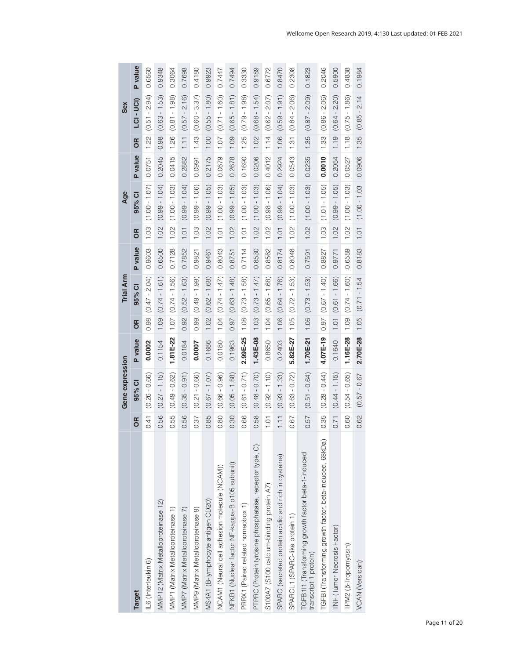|                                                                             |          | Gene expression |              |      | <b>Trial Arm</b>       |         |           | Age                    |         |      | Sex                    |         |
|-----------------------------------------------------------------------------|----------|-----------------|--------------|------|------------------------|---------|-----------|------------------------|---------|------|------------------------|---------|
| <b>Target</b>                                                               | <b>S</b> | 95% CI          | P value      | 6R   | 95% CI                 | P value | <b>SP</b> | 95% CI                 | P value | 6R   | LCI-UCI)               | P value |
| IL6 (Interleukin 6)                                                         | 0.41     | $(0.26 - 0.66)$ | 0.0002       | 0.98 | $(0.47 - 2.04)$        | 0.9603  | 1.03      | $(1.00 - 1.07)$        | 0.0751  | 1.22 | $(0.51 - 2.94)$        | 0.6560  |
| MMP12 (Matrix Metalloproteinase 12)                                         | 0.56     | $(0.27 - 1.15)$ | 0.1154       | 1.09 | $(0.74 - 1.61)$        | 0.6500  | 1.02      | $(0.99 - 1.04)$        | 0.2045  | 0.98 | $(0.63 - 1.53)$        | 0.9348  |
| MMP1 (Matrix Metalloproteinase 1)                                           | 0.55     | $(0.49 - 0.62)$ | $1.81E-22$   |      | $1.07   (0.74 - 1.56)$ | 0.7128  |           | $1.02$ $(1.00 - 1.03)$ | 0.0415  |      | $1.26$ $(0.81 - 1.98)$ | 0.3064  |
| MMP7 (Matrix Metalloproteinase 7)                                           | 0.56     | $(0.35 - 0.91)$ | 0.0184       |      | $0.92$ $(0.52 - 1.63)$ | 0.7852  | 1.01      | $(0.99 - 1.04)$        | 0.2882  | 1.11 | $(0.57 - 2.16)$        | 0.7698  |
| MMP9 (Matrix Metalloproteinase 9)                                           | 0.37     | $(0.21 - 0.66)$ | 0.0007       | 0.99 | $(0.49 - 1.99)$        | 0.9821  | 1.03      | $(0.99 - 1.06)$        | 0.0991  | 1.43 | $(0.60 - 3.37)$        | 0.4180  |
| MS4A1 (B-lymphocyte antigen CD20)                                           | 0.85     | $(0.67 - 1.07)$ | 0.1686       | 1.02 | $(0.62 - 1.68)$        | 0.9461  | 1.02      | $(0.99 - 1.05)$        | 0.2175  | 1.00 | $(0.55 - 1.80)$        | 0.9923  |
| NCAM1 (Neural cell adhesion molecule (NCAM))                                | 0.80     | $(0.66 - 0.96)$ | 0.0180       | 1.04 | $(0.74 - 1.47)$        | 0.8043  | 1.01      | $(1.00 - 1.03)$        | 0.0679  |      | $1.07$ $(0.71 - 1.60)$ | 0.7447  |
| NFKB1 (Nuclear factor NF-kappa-B p105 subunit)                              | 0.30     | $(0.05 - 1.88)$ | 0.1963       |      | $0.97$ $(0.63 - 1.48)$ | 0.8751  | 1.02      | $(0.99 - 1.05)$        | 0.2678  | 1.09 | $(0.65 - 1.81)$        | 0.7494  |
| PRRX1 (Paired related homeobox 1)                                           | 0.66     | $(0.61 - 0.71)$ | 2.99E-25     |      | $1.08$ $(0.73 - 1.58)$ | 0.7114  |           | $1.01$ $(1.00 - 1.03)$ | 0.1690  | 1.25 | $(0.79 - 1.98)$        | 0.3330  |
| PTPRC (Protein tyrosine phosphatase, receptor type, C)                      | 0.58     | $(0.48 - 0.70)$ | $1.43E - 08$ | 1.03 | $(0.73 - 1.47)$        | 0.8530  | 1.02      | $(1.00 - 1.03)$        | 0.0206  | 1.02 | $(0.68 - 1.54)$        | 0.9189  |
| S100A7 (S100 calcium-binding protein A7)                                    | 10.1     | $(0.92 - 1.10)$ | 0.8650       | 1.04 | $(0.65 - 1.68)$        | 0.8562  | 1.02      | $(0.98 - 1.06)$        | 0.4012  | 1.14 | $(0.62 - 2.07)$        | 0.6772  |
| SPARC (secreted protein acidic and rich in cysteine)                        | 1.11     | $(0.93 - 1.33)$ | 0.2403       | 1.06 | $(0.64 - 1.76)$        | 0.8174  | 1.01      | $(0.99 - 1.04)$        | 0.2924  | 1.06 | $(0.59 - 1.91)$        | 0.8470  |
| SPARCL1 (SPARC-like protein 1)                                              | 0.67     | $(0.63 - 0.72)$ | 5.82E-27     |      | $1.05$ $(0.72 - 1.53)$ | 0.8048  | 1.02      | $(1.00 - 1.03)$        | 0.0543  |      | $1.31 (0.84 - 2.06)$   | 0.2308  |
| TGFB1I1 (Transforming growth factor beta-1-induced<br>transcript 1 protein) | 0.57     | $(0.51 - 0.64)$ | $1.70E-21$   | 1.06 | $(0.73 - 1.53)$        | 0.7591  | 1.02      | $(1.00 - 1.03)$        | 0.0235  | 1.35 | $(0.87 - 2.09)$        | 0.1823  |
| TGFBI (Transforming growth factor, beta-induced, 68kDa)                     | 0.35     | $(0.28 - 0.44)$ | 4.07E-19     |      | $0.97$ $(0.67 - 1.40)$ | 0.8827  | 1.03      | $(1.01 - 1.05)$        | 0.0010  | 1.33 | $(0.86 - 2.06)$        | 0.2046  |
| TNF (Tumor Necrosis Factor)                                                 | 0.71     | $(0.44 - 1.15)$ | 0.1640       |      | $1.01 (0.61 - 1.66)$   | 0.9771  | 1.02      | $(0.99 - 1.05)$        | 0.2054  | 1.19 | $(0.64 - 2.20)$        | 0.5900  |
| TPM2 (B-Tropomyosin)                                                        | 0.60     | $(0.54 - 0.65)$ | 1.16E-28     | 1.09 | $(0.74 - 1.60)$        | 0.6589  | 1.02      | $(1.00 - 1.03)$        | 0.0527  | 1.18 | $(0.75 - 1.86)$        | 0.4838  |
| <b>VCAN</b> (Versican)                                                      | 0.62     | $(0.57 - 0.67)$ | $2.70E - 28$ | 1.05 | $(0.71 - 1.54)$        | 0.8183  | 1.01      | $(1.00 - 1.03)$        | 0.0906  | 1.35 | $(0.85 - 2.14)$        | 0.1984  |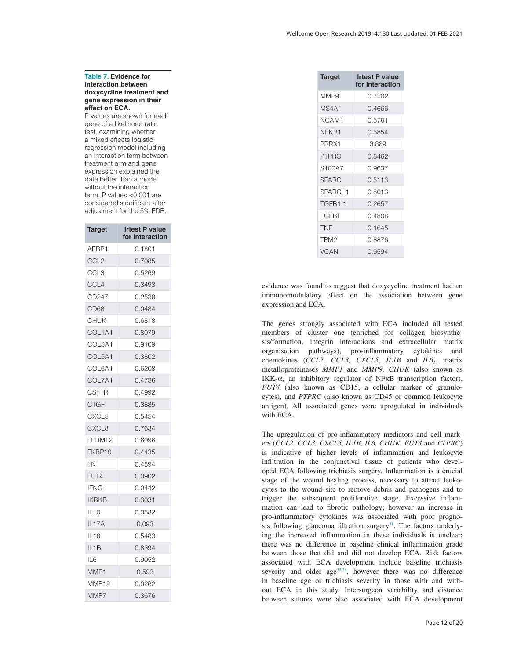#### <span id="page-11-0"></span>**Table 7. Evidence for interaction between doxycycline treatment and gene expression in their effect on ECA.**

P values are shown for each gene of a likelihood ratio test, examining whether a mixed effects logistic regression model including an interaction term between treatment arm and gene expression explained the data better than a model without the interaction term. P values <0.001 are considered significant after adjustment for the 5% FDR.

| <b>Target</b>      | <b>Irtest P value</b><br>for interaction |
|--------------------|------------------------------------------|
| AEBP1              | 0.1801                                   |
| CCL <sub>2</sub>   | 0.7085                                   |
| CCL <sub>3</sub>   | 0.5269                                   |
| CCL <sub>4</sub>   | 0.3493                                   |
| CD247              | 0.2538                                   |
| CD <sub>68</sub>   | 0.0484                                   |
| <b>CHUK</b>        | 0.6818                                   |
| COL1A1             | 0.8079                                   |
| COL3A1             | 0.9109                                   |
| COL5A1             | 0.3802                                   |
| COL6A1             | 0.6208                                   |
| COL7A1             | 0.4736                                   |
| CSF1R              | 0.4992                                   |
| <b>CTGF</b>        | 0.3885                                   |
| CXCL5              | 0.5454                                   |
| CXCL8              | 0.7634                                   |
| FERMT <sub>2</sub> | 0.6096                                   |
| FKBP10             | 0.4435                                   |
| FN <sub>1</sub>    | 0.4894                                   |
| FUT4               | 0.0902                                   |
| <b>IFNG</b>        | 0.0442                                   |
| <b>IKBKB</b>       | 0.3031                                   |
| <b>IL10</b>        | 0.0582                                   |
| IL17A              | 0.093                                    |
| <b>IL18</b>        | 0.5483                                   |
| IL <sub>1</sub> B  | 0.8394                                   |
| IL <sub>6</sub>    | 0.9052                                   |
| MMP1               | 0.593                                    |
| MMP12              | 0.0262                                   |
| MMP7               | 0.3676                                   |

| <b>Target</b>    | <b>Irtest P value</b><br>for interaction |
|------------------|------------------------------------------|
| MMP <sub>9</sub> | በ 7202                                   |
| MS4A1            | 0.4666                                   |
| NCAM1            | በ 5781                                   |
| NFKB1            | 0.5854                                   |
| PRRX1            | ೧ ጸ69                                    |
| <b>PTPRC</b>     | 0.8462                                   |
| S100A7           | 0.9637                                   |
| <b>SPARC</b>     | 0.5113                                   |
| SPARCL1          | 0.8013                                   |
| TGFB1I1          | 0.2657                                   |
| <b>TGFBI</b>     | N 4808                                   |
| <b>TNF</b>       | 0 1645                                   |
| TPM <sub>2</sub> | 0.8876                                   |
| <b>VCAN</b>      | 0.9594                                   |

evidence was found to suggest that doxycycline treatment had an immunomodulatory effect on the association between gene expression and ECA.

The genes strongly associated with ECA included all tested members of cluster one (enriched for collagen biosynthesis/formation, integrin interactions and extracellular matrix organisation pathways), pro-inflammatory cytokines and chemokines (*CCL2, CCL3, CXCL5*, *IL1B* and *IL6)*, matrix metalloproteinases *MMP1* and *MMP9, CHUK* (also known as IKK-α, an inhibitory regulator of NFκB transcription factor), *FUT4* (also known as CD15, a cellular marker of granulocytes), and *PTPRC* (also known as CD45 or common leukocyte antigen). All associated genes were upregulated in individuals with ECA.

The upregulation of pro-inflammatory mediators and cell markers (*CCL2, CCL3, CXCL5*, *IL1B, IL6, CHUK, FUT4* and *PTPRC*) is indicative of higher levels of inflammation and leukocyte infiltration in the conjunctival tissue of patients who developed ECA following trichiasis surgery. Inflammation is a crucial stage of the wound healing process, necessary to attract leukocytes to the wound site to remove debris and pathogens and to trigger the subsequent proliferative stage. Excessive inflammation can lead to fibrotic pathology; however an increase in pro-inflammatory cytokines was associated with poor prognosis following glaucoma filtration surgery $31$ . The factors underlying the increased inflammation in these individuals is unclear; there was no difference in baseline clinical inflammation grade between those that did and did not develop ECA. Risk factors associated with ECA development include baseline trichiasis severity and older  $age^{32,33}$ , however there was no difference in baseline age or trichiasis severity in those with and without ECA in this study. Intersurgeon variability and distance between sutures were also associated with ECA development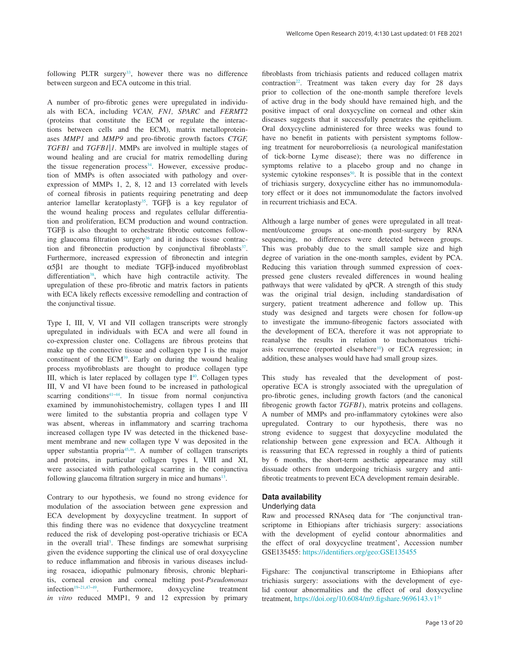following PLTR surgery<sup>[33](#page-14-0)</sup>, however there was no difference between surgeon and ECA outcome in this trial.

A number of pro-fibrotic genes were upregulated in individuals with ECA, including *VCAN, FN1, SPARC* and *FERMT2* (proteins that constitute the ECM or regulate the interactions between cells and the ECM), matrix metalloproteinases *MMP1* and *MMP9* and pro-fibrotic growth factors *CTGF, TGFB1* and *TGFB1|1*. MMPs are involved in multiple stages of wound healing and are crucial for matrix remodelling during the tissue regeneration process<sup>[34](#page-14-0)</sup>. However, excessive production of MMPs is often associated with pathology and overexpression of MMPs 1, 2, 8, 12 and 13 correlated with levels of corneal fibrosis in patients requiring penetrating and deep anterior lamellar keratoplasty<sup>[35](#page-14-0)</sup>. TGF $\beta$  is a key regulator of the wound healing process and regulates cellular differentiation and proliferation, ECM production and wound contraction. TGFβ is also thought to orchestrate fibrotic outcomes following glaucoma filtration surgery<sup>36</sup> and it induces tissue contraction and fibronectin production by conjunctival fibroblasts $37$ . Furthermore, increased expression of fibronectin and integrin α5β1 are thought to mediate TGFβ-induced myofibroblast differentiation<sup>[38](#page-14-0)</sup>, which have high contractile activity. The upregulation of these pro-fibrotic and matrix factors in patients with ECA likely reflects excessive remodelling and contraction of the conjunctival tissue.

Type I, III, V, VI and VII collagen transcripts were strongly upregulated in individuals with ECA and were all found in co-expression cluster one. Collagens are fibrous proteins that make up the connective tissue and collagen type I is the major constituent of the ECM<sup>39</sup>. Early on during the wound healing process myofibroblasts are thought to produce collagen type III, which is later replaced by collagen type  $I<sup>40</sup>$  $I<sup>40</sup>$  $I<sup>40</sup>$ . Collagen types III, V and VI have been found to be increased in pathological scarring conditions<sup>[41–44](#page-14-0)</sup>. In tissue from normal conjunctiva examined by immunohistochemistry, collagen types I and III were limited to the substantia propria and collagen type V was absent, whereas in inflammatory and scarring trachoma increased collagen type IV was detected in the thickened basement membrane and new collagen type V was deposited in the upper substantia propri[a45,46](#page-14-0). A number of collagen transcripts and proteins, in particular collagen types I, VIII and XI, were associated with pathological scarring in the conjunctiva following glaucoma filtration surgery in mice and humans $13$ .

Contrary to our hypothesis, we found no strong evidence for modulation of the association between gene expression and ECA development by doxycycline treatment. In support of this finding there was no evidence that doxycycline treatment reduced the risk of developing post-operative trichiasis or ECA in the overall trial<sup>[5](#page-13-0)</sup>. These findings are somewhat surprising given the evidence supporting the clinical use of oral doxycycline to reduce inflammation and fibrosis in various diseases including rosacea, idiopathic pulmonary fibrosis, chronic blepharitis, corneal erosion and corneal melting post-*Pseudomonas* infection<sup>[19–21,](#page-13-0)[47–49](#page-14-0)</sup>. Furthermore, doxycycline treatment *in vitro* reduced MMP1, 9 and 12 expression by primary

fibroblasts from trichiasis patients and reduced collagen matrix contraction<sup>22</sup>. Treatment was taken every day for 28 days prior to collection of the one-month sample therefore levels of active drug in the body should have remained high, and the positive impact of oral doxycycline on corneal and other skin diseases suggests that it successfully penetrates the epithelium. Oral doxycycline administered for three weeks was found to have no benefit in patients with persistent symptoms following treatment for neuroborreliosis (a neurological manifestation of tick-borne Lyme disease); there was no difference in symptoms relative to a placebo group and no change in systemic cytokine responses<sup>50</sup>. It is possible that in the context of trichiasis surgery, doxycycline either has no immunomodulatory effect or it does not immunomodulate the factors involved in recurrent trichiasis and ECA.

Although a large number of genes were upregulated in all treatment/outcome groups at one-month post-surgery by RNA sequencing, no differences were detected between groups. This was probably due to the small sample size and high degree of variation in the one-month samples, evident by PCA. Reducing this variation through summed expression of coexpressed gene clusters revealed differences in wound healing pathways that were validated by qPCR. A strength of this study was the original trial design, including standardisation of surgery, patient treatment adherence and follow up. This study was designed and targets were chosen for follow-up to investigate the immuno-fibrogenic factors associated with the development of ECA, therefore it was not appropriate to reanalyse the results in relation to trachomatous trichiasis recurrence (reported elsewhere<sup>10</sup>) or ECA regression; in addition, these analyses would have had small group sizes.

This study has revealed that the development of postoperative ECA is strongly associated with the upregulation of pro-fibrotic genes, including growth factors (and the canonical fibrogenic growth factor *TGFB1*), matrix proteins and collagens. A number of MMPs and pro-inflammatory cytokines were also upregulated. Contrary to our hypothesis, there was no strong evidence to suggest that doxycycline modulated the relationship between gene expression and ECA. Although it is reassuring that ECA regressed in roughly a third of patients by 6 months, the short-term aesthetic appearance may still dissuade others from undergoing trichiasis surgery and antifibrotic treatments to prevent ECA development remain desirable.

# **Data availability**

#### Underlying data

Raw and processed RNAseq data for 'The conjunctival transcriptome in Ethiopians after trichiasis surgery: associations with the development of eyelid contour abnormalities and the effect of oral doxycycline treatment', Accession number GSE135455:<https://identifiers.org/geo:GSE135455>

Figshare: The conjunctival transcriptome in Ethiopians after trichiasis surgery: associations with the development of eyelid contour abnormalities and the effect of oral doxycycline treatment, [https://doi.org/10.6084/m9.figshare.9696143.v1](https://dx.doi.org/10.6084/m9.figshare.9696143.v1)[51](#page-14-0)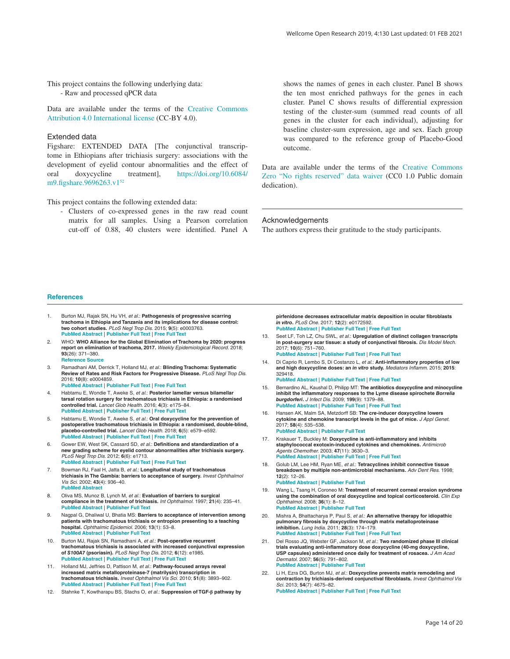<span id="page-13-0"></span>This project contains the following underlying data: - Raw and processed qPCR data

Data are available under the terms of the [Creative Commons](https://creativecommons.org/licenses/by/4.0/legalcode)  [Attribution 4.0 International license](https://creativecommons.org/licenses/by/4.0/legalcode) (CC-BY 4.0).

#### Extended data

Figshare: EXTENDED DATA [The conjunctival transcriptome in Ethiopians after trichiasis surgery: associations with the development of eyelid contour abnormalities and the effect of oral doxycycline treatment], [https://doi.org/10.6084/](https://dx.doi.org/10.6084/m9.figshare.9696263.v1) [m9.figshare.9696263.v1](https://dx.doi.org/10.6084/m9.figshare.9696263.v1)<sup>[52](#page-14-0)</sup>

This project contains the following extended data:

- Clusters of co-expressed genes in the raw read count matrix for all samples. Using a Pearson correlation cut-off of 0.88, 40 clusters were identified. Panel A

shows the names of genes in each cluster. Panel B shows the ten most enriched pathways for the genes in each cluster. Panel C shows results of differential expression testing of the cluster-sum (summed read counts of all genes in the cluster for each individual), adjusting for baseline cluster-sum expression, age and sex. Each group was compared to the reference group of Placebo-Good outcome.

Data are available under the terms of the [Creative Commons](http://creativecommons.org/publicdomain/zero/1.0/)  [Zero "No rights reserved" data waiver](http://creativecommons.org/publicdomain/zero/1.0/) (CC0 1.0 Public domain dedication).

#### Acknowledgements

The authors express their gratitude to the study participants.

#### **References**

- 1. Burton MJ, Rajak SN, Hu VH, *et al.*: **Pathogenesis of progressive scarring trachoma in Ethiopia and Tanzania and its implications for disease control: two cohort studies.** *PLoS Negl Trop Dis.* 2015; **9**(5): e0003763. **[PubMed Abstract](http://www.ncbi.nlm.nih.gov/pubmed/25970613)** | **[Publisher Full Text](http://dx.doi.org/10.1371/journal.pntd.0003763)** | **[Free Full Text](http://www.ncbi.nlm.nih.gov/pmc/articles/4430253)**
- 2. WHO: **WHO Alliance for the Global Elimination of Trachoma by 2020: progress report on elimination of trachoma, 2017.** *Weekly Epidemiological Record.* 2018; **93**(26): 371–380. **[Reference Source](https://apps.who.int/iris/bitstream/handle/10665/272968/WER9326-371-380.pdf?sequence=1&isAllowed=y)**
- 3. Ramadhani AM, Derrick T, Holland MJ, *et al.*: **Blinding Trachoma: Systematic Review of Rates and Risk Factors for Progressive Disease.** *PLoS Negl Trop Dis.* 2016; **10**(8): e0004859. **[PubMed Abstract](http://www.ncbi.nlm.nih.gov/pubmed/27483002)** | **[Publisher Full Text](http://dx.doi.org/10.1371/journal.pntd.0004859)** | **[Free Full Text](http://www.ncbi.nlm.nih.gov/pmc/articles/4970760)**
- 4. Habtamu E, Wondie T, Aweke S, *et al.*: **Posterior lamellar versus bilamellar tarsal rotation surgery for trachomatous trichiasis in Ethiopia: a randomised controlled trial.** *Lancet Glob Health.* 2016; **4**(3): e175–84. **[PubMed Abstract](http://www.ncbi.nlm.nih.gov/pubmed/26774708)** | **[Publisher Full Text](http://dx.doi.org/10.1016/S2214-109X(15)00299-5)** | **[Free Full Text](http://www.ncbi.nlm.nih.gov/pmc/articles/5075282)**
- 5. Habtamu E, Wondie T, Aweke S, *et al.*: **Oral doxycycline for the prevention of postoperative trachomatous trichiasis in Ethiopia: a randomised, double-blind, placebo-controlled trial.** *Lancet Glob Health.* 2018; **6**(5): e579–e592. **[PubMed Abstract](http://www.ncbi.nlm.nih.gov/pubmed/29653629)** | **[Publisher Full Text](http://dx.doi.org/10.1016/S2214-109X(18)30111-6)** | **[Free Full Text](http://www.ncbi.nlm.nih.gov/pmc/articles/5912946)**
- 6. Gower EW, West SK, Cassard SD, *et al.*: **Definitions and standardization of a new grading scheme for eyelid contour abnormalities after trichiasis surgery.** *PLoS Negl Trop Dis.* 2012; **6**(6): e1713. **[PubMed Abstract](http://www.ncbi.nlm.nih.gov/pubmed/22745845)** | **[Publisher Full Text](http://dx.doi.org/10.1371/journal.pntd.0001713)** | **[Free Full Text](http://www.ncbi.nlm.nih.gov/pmc/articles/3383763)**
- 7. Bowman RJ, Faal H, Jatta B, *et al.*: **Longitudinal study of trachomatous trichiasis in The Gambia: barriers to acceptance of surgery.** *Invest Ophthalmol Vis Sci.* 2002; **43**(4): 936–40. **[PubMed Abstract](http://www.ncbi.nlm.nih.gov/pubmed/11923231)**
- 8. Oliva MS, Munoz B, Lynch M, *et al.*: **Evaluation of barriers to surgical compliance in the treatment of trichiasis.** *Int Ophthalmol.* 1997; **21**(4): 235–41. **[PubMed Abstract](http://www.ncbi.nlm.nih.gov/pubmed/9700012)** | **[Publisher Full Text](http://dx.doi.org/10.1023/A:100604582419)**
- 9. Nagpal G, Dhaliwal U, Bhatia MS: **Barriers to acceptance of intervention among patients with trachomatous trichiasis or entropion presenting to a teaching hospital.** *Ophthalmic Epidemiol.* 2006; **13**(1): 53–8. **[PubMed Abstract](http://www.ncbi.nlm.nih.gov/pubmed/16510347)** | **[Publisher Full Text](http://dx.doi.org/10.1080/09286580500428518)**
- 10. Burton MJ, Rajak SN, Ramadhani A, *et al.*: **Post-operative recurrent trachomatous trichiasis is associated with increased conjunctival expression of** *S100A7* **(psoriasin).** *PLoS Negl Trop Dis.* 2012; **6**(12): e1985. **[PubMed Abstract](http://www.ncbi.nlm.nih.gov/pubmed/23285311)** | **[Publisher Full Text](http://dx.doi.org/10.1371/journal.pntd.0001985)** | **[Free Full Text](http://www.ncbi.nlm.nih.gov/pmc/articles/3527350)**
- 11. Holland MJ, Jeffries D, Pattison M, *et al.*: **Pathway-focused arrays reveal increased matrix metalloproteinase-7 (matrilysin) transcription in trachomatous trichiasis.** *Invest Ophthalmol Vis Sci.* 2010; **51**(8): 3893–902. **[PubMed Abstract](http://www.ncbi.nlm.nih.gov/pubmed/20375326)** | **[Publisher Full Text](http://dx.doi.org/10.1167/iovs.09-5054)** | **[Free Full Text](http://www.ncbi.nlm.nih.gov/pmc/articles/2910633)**
- 12. Stahnke T, Kowtharapu BS, Stachs O, *et al.*: **Suppression of TGF-β pathway by**

**pirfenidone decreases extracellular matrix deposition in ocular fibroblasts** *in vitro***.** *PLoS One.* 2017; **12**(2): e0172592. **[PubMed Abstract](http://www.ncbi.nlm.nih.gov/pubmed/28231275)** | **[Publisher Full Text](http://dx.doi.org/10.1371/journal.pone.0172592)** | **[Free Full Text](http://www.ncbi.nlm.nih.gov/pmc/articles/5322922)**

- 13. Seet LF, Toh LZ, Chu SWL, *et al.*: **Upregulation of distinct collagen transcripts in post-surgery scar tissue: a study of conjunctival fibrosis.** *Dis Model Mech.* 2017; **10**(6): 751–760.
- **[PubMed Abstract](http://www.ncbi.nlm.nih.gov/pubmed/28331057)** | **[Publisher Full Text](http://dx.doi.org/10.1242/dmm.028555)** | **[Free Full Text](http://www.ncbi.nlm.nih.gov/pmc/articles/5483006)** 14. Di Caprio R, Lembo S, Di Costanzo L, *et al.*: **Anti-inflammatory properties of low and high doxycycline doses: an** *in vitro* **study.** *Mediators Inflamm.* 2015; **2015**:
	- 329418. **[PubMed Abstract](http://www.ncbi.nlm.nih.gov/pubmed/25977597)** | **[Publisher Full Text](http://dx.doi.org/10.1155/2015/329418)** | **[Free Full Text](http://www.ncbi.nlm.nih.gov/pmc/articles/4421036)**
- 15. Bernardino AL, Kaushal D, Philipp MT: **The antibiotics doxycycline and minocycline inhibit the inflammatory responses to the Lyme disease spirochete** *Borrelia burgdorferi***.** *J Infect Dis.* 2009; **199**(9): 1379–88. **[PubMed Abstract](http://www.ncbi.nlm.nih.gov/pubmed/19301981)** | **[Publisher Full Text](http://dx.doi.org/10.1086/597807)** | **[Free Full Text](http://www.ncbi.nlm.nih.gov/pmc/articles/3697124)**
- 16. Hansen AK, Malm SA, Metzdorff SB: **The** *cre***-inducer doxycycline lowers cytokine and chemokine transcript levels in the gut of mice.** *J Appl Genet.* 2017; **58**(4): 535–538. **[PubMed Abstract](http://www.ncbi.nlm.nih.gov/pubmed/28624900)** | **[Publisher Full Text](http://dx.doi.org/10.1007/s13353-017-0401-x)**
- 17. Krakauer T, Buckley M: **Doxycycline is anti-inflammatory and inhibits staphylococcal exotoxin-induced cytokines and chemokines.** *Antimicrob Agents Chemother.* 2003; **47**(11): 3630–3. **[PubMed Abstract](http://www.ncbi.nlm.nih.gov/pubmed/14576133)** | **[Publisher Full Text](http://dx.doi.org/10.1128/aac.47.11.3630-3633.2003)** | **[Free Full Text](http://www.ncbi.nlm.nih.gov/pmc/articles/253774)**
- 18. Golub LM, Lee HM, Ryan ME, *et al.*: **Tetracyclines inhibit connective tissue breakdown by multiple non-antimicrobial mechanisms.** *Adv Dent Res.* 1998; **12**(2): 12–26. **[PubMed Abstract](http://www.ncbi.nlm.nih.gov/pubmed/9972117)** | **[Publisher Full Text](http://dx.doi.org/10.1177/08959374980120010501)**
- Wang L, Tsang H, Coroneo M: Treatment of recurrent corneal erosion syndrome **using the combination of oral doxycycline and topical corticosteroid.** *Clin Exp Ophthalmol.* 2008; **36**(1): 8–12. **[PubMed Abstract](http://www.ncbi.nlm.nih.gov/pubmed/18290949)** | **[Publisher Full Text](http://dx.doi.org/10.1111/j.1442-9071.2007.01648.x)**
- 20. Mishra A, Bhattacharya P, Paul S, *et al.*: **An alternative therapy for idiopathic pulmonary fibrosis by doxycycline through matrix metalloproteinase inhibition.** *Lung India.* 2011; **28**(3): 174–179. **[PubMed Abstract](http://www.ncbi.nlm.nih.gov/pubmed/21886950)** | **[Publisher Full Text](http://dx.doi.org/10.4103/0970-2113.83972)** | **[Free Full Text](http://www.ncbi.nlm.nih.gov/pmc/articles/3162753)**
- 21. Del Rosso JQ, Webster GF, Jackson M, *et al.*: **Two randomized phase III clinical trials evaluating anti-inflammatory dose doxycycline (40-mg doxycycline, USP capsules) administered once daily for treatment of rosacea.** *J Am Acad Dermatol.* 2007; **56**(5): 791–802. **[PubMed Abstract](http://www.ncbi.nlm.nih.gov/pubmed/17367893)** | **[Publisher Full Text](http://dx.doi.org/10.1016/j.jaad.2006.11.021)**
- 22. Li H, Ezra DG, Burton MJ, *et al.*: **Doxycycline prevents matrix remodeling and contraction by trichiasis-derived conjunctival fibroblasts.** *Invest Ophthalmol Vis Sci.* 2013; **54**(7): 4675–82. **[PubMed Abstract](http://www.ncbi.nlm.nih.gov/pubmed/23766479)** | **[Publisher Full Text](http://dx.doi.org/10.1167/iovs.13-11787)** | **[Free Full Text](http://www.ncbi.nlm.nih.gov/pmc/articles/3711612)**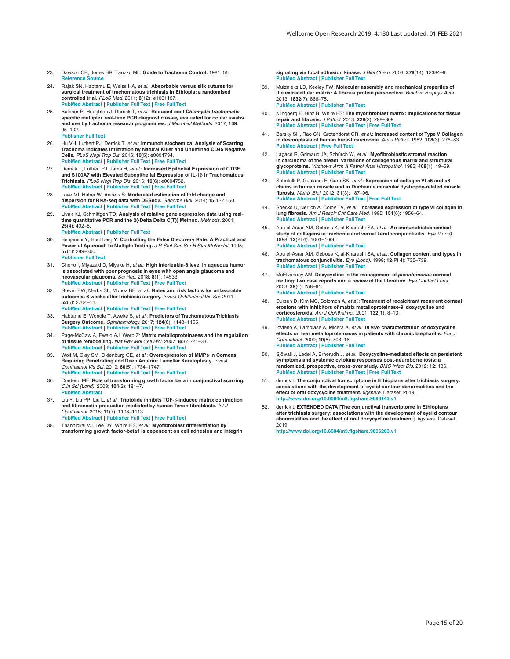- <span id="page-14-0"></span>23. Dawson CR, Jones BR, Tarizzo ML: **Guide to Trachoma Control.** 1981; 56. **[Reference Source](https://apps.who.int/iris/bitstream/handle/10665/38939/9241541571.pdf?sequence=1&isAllowed=y)**
- 24. Rajak SN, Habtamu E, Weiss HA, *et al.*: **Absorbable versus silk sutures for surgical treatment of trachomatous trichiasis in Ethiopia: a randomised controlled trial.** *PLoS Med.* 2011; **8**(12): e1001137. **[PubMed Abstract](http://www.ncbi.nlm.nih.gov/pubmed/22180732)** | **[Publisher Full Text](http://dx.doi.org/10.1371/journal.pmed.1001137)** | **[Free Full Text](http://www.ncbi.nlm.nih.gov/pmc/articles/3236737)**
- 25. Butcher R, Houghton J, Derrick T, *et al.*: **Reduced-cost** *Chlamydia trachomatis* **specific multiplex real-time PCR diagnostic assay evaluated for ocular swabs and use by trachoma research programmes.** *J Microbiol Methods.* 2017; **139**: 95–102. **[Publisher Full Text](http://dx.doi.org/10.1016/j.mimet.2017.04.010)**
- 26. Hu VH, Luthert PJ, Derrick T, *et al.*: **Immunohistochemical Analysis of Scarring Trachoma Indicates Infiltration by Natural Killer and Undefined CD45 Negative Cells.** *PLoS Negl Trop Dis.* 2016; **10**(5): e0004734. **[PubMed Abstract](http://www.ncbi.nlm.nih.gov/pubmed/27219121)** | **[Publisher Full Text](http://dx.doi.org/10.1371/journal.pntd.0004734)** | **[Free Full Text](http://www.ncbi.nlm.nih.gov/pmc/articles/4878762)**
- Derrick T, Luthert PJ, Jama H, et al.: Increased Epithelial Expression of CTGF **and S100A7 with Elevated Subepithelial Expression of IL-1**β **in Trachomatous Trichiasis.** *PLoS Negl Trop Dis.* 2016; **10**(6): e0004752. **[PubMed Abstract](http://www.ncbi.nlm.nih.gov/pubmed/27249027)** | **[Publisher Full Text](http://dx.doi.org/10.1371/journal.pntd.0004752)** | **[Free Full Text](http://www.ncbi.nlm.nih.gov/pmc/articles/4889093)**
- 28. Love MI, Huber W, Anders S: **Moderated estimation of fold change and dispersion for RNA-seq data with DESeq2.** *Genome Biol.* 2014; **15**(12): 550. **[PubMed Abstract](http://www.ncbi.nlm.nih.gov/pubmed/25516281)** | **[Publisher Full Text](http://dx.doi.org/10.1186/s13059-014-0550-8)** | **[Free Full Text](http://www.ncbi.nlm.nih.gov/pmc/articles/4302049)**
- 29. Livak KJ, Schmittgen TD: **Analysis of relative gene expression data using real-time quantitative PCR and the 2(-Delta Delta C(T)) Method.** *Methods.* 2001; **25**(4): 402–8.
	- **[PubMed Abstract](http://www.ncbi.nlm.nih.gov/pubmed/11846609)** | **[Publisher Full Text](http://dx.doi.org/10.1006/meth.2001.1262)**
- 30. Benjamini Y, Hochberg Y: **Controlling the False Discovery Rate: A Practical and Powerful Approach to Multiple Testing.** *J R Stat Soc Ser B Stat Methodol.* 1995; **57**(1): 289–300.
	- **[Publisher Full Text](http://dx.doi.org/10.1111/j.2517-6161.1995.tb02031.x)**
- 31. Chono I, Miyazaki D, Miyake H, *et al.*: **High interleukin-8 level in aqueous humor is associated with poor prognosis in eyes with open angle glaucoma and neovascular glaucoma.** *Sci Rep.* 2018; **8**(1): 14533. **[PubMed Abstract](http://www.ncbi.nlm.nih.gov/pubmed/30266980)** | **[Publisher Full Text](http://dx.doi.org/10.1038/s41598-018-32725-3)** | **[Free Full Text](http://www.ncbi.nlm.nih.gov/pmc/articles/6162267)**
- 32. Gower EW, Merbs SL, Munoz BE, *et al.*: **Rates and risk factors for unfavorable outcomes 6 weeks after trichiasis surgery.** *Invest Ophthalmol Vis Sci.* 2011; **52**(5): 2704–11. **[PubMed Abstract](http://www.ncbi.nlm.nih.gov/pubmed/21051704)** | **[Publisher Full Text](http://dx.doi.org/10.1167/iovs.10-5161)** | **[Free Full Text](http://www.ncbi.nlm.nih.gov/pmc/articles/3088559)**
- 
- 33. Habtamu E, Wondie T, Aweke S, *et al.*: **Predictors of Trachomatous Trichiasis Surgery Outcome.** *Ophthalmology.* 2017; **124**(8): 1143–1155. **[PubMed Abstract](http://www.ncbi.nlm.nih.gov/pubmed/28438414)** | **[Publisher Full Text](http://dx.doi.org/10.1016/j.ophtha.2017.03.016)** | **[Free Full Text](http://www.ncbi.nlm.nih.gov/pmc/articles/5540045)**
- 34. Page-McCaw A, Ewald AJ, Werb Z: **Matrix metalloproteinases and the regulation of tissue remodelling.** *Nat Rev Mol Cell Biol.* 2007; **8**(3): 221–33. **[PubMed Abstract](http://www.ncbi.nlm.nih.gov/pubmed/17318226)** | **[Publisher Full Text](http://dx.doi.org/10.1038/nrm2125)** | **[Free Full Text](http://www.ncbi.nlm.nih.gov/pmc/articles/2760082)**
- 35. Wolf M, Clay SM, Oldenburg CE, *et al.*: **Overexpression of MMPs in Corneas Requiring Penetrating and Deep Anterior Lamellar Keratoplasty.** *Invest Ophthalmol Vis Sci.* 2019; **60**(5): 1734–1747. **[PubMed Abstract](http://www.ncbi.nlm.nih.gov/pubmed/31022731)** | **[Publisher Full Text](http://dx.doi.org/10.1167/iovs.18-25961)** | **[Free Full Text](http://www.ncbi.nlm.nih.gov/pmc/articles/6485316)**
- 36. Cordeiro MF: **Role of transforming growth factor beta in conjunctival scarring.** *Clin Sci (Lond).* 2003; **104**(2): 181–7. **[PubMed Abstract](http://www.ncbi.nlm.nih.gov/pubmed/12546640)**
- 37. Liu Y, Liu PP, Liu L, *et al.*: **Triptolide inhibits TGF-β-induced matrix contraction and fibronectin production mediated by human Tenon fibroblasts.** *Int J Ophthalmol.* 2018; **11**(7): 1108–1113. **[PubMed Abstract](http://www.ncbi.nlm.nih.gov/pubmed/30046525)** | **[Publisher Full Text](http://dx.doi.org/10.18240/ijo.2018.07.06)** | **[Free Full Text](http://www.ncbi.nlm.nih.gov/pmc/articles/6048341)**
- 38. Thannickal VJ, Lee DY, White ES, *et al.*: **Myofibroblast differentiation by transforming growth factor-beta1 is dependent on cell adhesion and integrin**

**signaling via focal adhesion kinase.** *J Biol Chem.* 2003; **278**(14): 12384–9. **[PubMed Abstract](http://www.ncbi.nlm.nih.gov/pubmed/12531888)** | **[Publisher Full Text](http://dx.doi.org/10.1074/jbc.M208544200)**

- 39. Muiznieks LD, Keeley FW: **Molecular assembly and mechanical properties of the extracellular matrix: A fibrous protein perspective.** *Biochim Biophys Acta.* 2013; **1832**(7): 866–75. **[PubMed Abstract](http://www.ncbi.nlm.nih.gov/pubmed/23220448)** | **[Publisher Full Text](http://dx.doi.org/10.1016/j.bbadis.2012.11.022)**
- 40. Klingberg F, Hinz B, White ES: **The myofibroblast matrix: implications for tissue repair and fibrosis.** *J Pathol.* 2013; **229**(2): 298–309. **[PubMed Abstract](http://www.ncbi.nlm.nih.gov/pubmed/22996908)** | **[Publisher Full Text](http://dx.doi.org/10.1002/path.4104)** | **[Free Full Text](http://www.ncbi.nlm.nih.gov/pmc/articles/4005341)**
- 41. Barsky SH, Rao CN, Grotendorst GR, *et al.*: **Increased content of Type V Collagen in desmoplasia of human breast carcinoma.** *Am J Pathol.* 1982; **108**(3): 276–83. **[PubMed Abstract](http://www.ncbi.nlm.nih.gov/pubmed/6287844)** | **[Free Full Text](http://www.ncbi.nlm.nih.gov/pmc/articles/1916045)**
- 42. Lagacé R, Grimaud JA, Schürch W, *et al.*: **Myofibroblastic stromal reaction in carcinoma of the breast: variations of collagenous matrix and structural glycoproteins.** *Virchows Arch A Pathol Anat Histopathol.* 1985; **408**(1): 49–59. **[PubMed Abstract](http://www.ncbi.nlm.nih.gov/pubmed/3933171)** | **[Publisher Full Text](http://dx.doi.org/10.1007/BF00739962)**
- 43. Sabatelli P, Gualandi F, Gara SK, *et al.*: **Expression of collagen VI α5 and α6 chains in human muscle and in Duchenne muscular dystrophy-related muscle fibrosis.** *Matrix Biol.* 2012; **31**(3): 187–96. **[PubMed Abstract](http://www.ncbi.nlm.nih.gov/pubmed/22226732)** | **[Publisher Full Text](http://dx.doi.org/10.1016/j.matbio.2011.12.003)** | **[Free Full Text](http://www.ncbi.nlm.nih.gov/pmc/articles/3315014)**
- 44. Specks U, Nerlich A, Colby TV, *et al.*: **Increased expression of type VI collagen in lung fibrosis.** *Am J Respir Crit Care Med.* 1995; **151**(6): 1956–64. *[Publisher Full Text](http://dx.doi.org/10.1164/ajrccm.151.6.7767545)*
- 45. Abu el-Asrar AM, Geboes K, al-Kharashi SA, *et al.*: **An immunohistochemical study of collagens in trachoma and vernal keratoconjunctivitis.** *Eye (Lond).* 1998; **12**(Pt 6): 1001–1006. **[PubMed Abstract](http://www.ncbi.nlm.nih.gov/pubmed/10326004)** | **[Publisher Full Text](http://dx.doi.org/10.1038/eye.1998.257)**
- 46. Abu el-Asrar AM, Geboes K, al-Kharashi SA, *et al.*: **Collagen content and types in trachomatous conjunctivitis.** *Eye (Lond).* 1998; **12**(Pt 4): 735–739. **[PubMed Abstract](http://www.ncbi.nlm.nih.gov/pubmed/9850275)** | **[Publisher Full Text](http://dx.doi.org/10.1038/eye.1998.179)**
- 47. McElvanney AM: **Doxycycline in the management of** *pseudomonas* **corneal melting: two case reports and a review of the literature.** *Eye Contact Lens.* 2003; **29**(4): 258–61. **[PubMed Abstract](http://www.ncbi.nlm.nih.gov/pubmed/14555906)** | **[Publisher Full Text](http://dx.doi.org/10.1097/01.icl.0000086490.38331.58)**
- 48. Dursun D, Kim MC, Solomon A, *et al.*: **Treatment of recalcitrant recurrent corneal erosions with inhibitors of matrix metalloproteinase-9, doxycycline and corticosteroids.** *Am J Ophthalmol.* 2001; **132**(1): 8–13. **[PubMed Abstract](http://www.ncbi.nlm.nih.gov/pubmed/11438047)** | **[Publisher Full Text](http://dx.doi.org/10.1016/s0002-9394(01)00913-8)**
- 49. Iovieno A, Lambiase A, Micera A, *et al.*: *In vivo* **characterization of doxycycline effects on tear metalloproteinases in patients with chronic blepharitis.** *Eur J Ophthalmol.* 2009; **19**(5): 708–16. **[PubMed Abstract](http://www.ncbi.nlm.nih.gov/pubmed/19787586)** | **[Publisher Full Text](http://dx.doi.org/10.1177/112067210901900504)**
- 50. Sjöwall J, Ledel A, Ernerudh J, *et al.*: **Doxycycline-mediated effects on persistent symptoms and systemic cytokine responses post-neuroborreliosis: a randomized, prospective, cross-over study.** *BMC Infect Dis.* 2012; **12**: 186. **[PubMed Abstract](http://www.ncbi.nlm.nih.gov/pubmed/22876748)** | **[Publisher Full Text](http://dx.doi.org/10.1186/1471-2334-12-186)** | **[Free Full Text](http://www.ncbi.nlm.nih.gov/pmc/articles/3507907)**
- 51. derrick t: **The conjunctival transcriptome in Ethiopians after trichiasis surgery: associations with the development of eyelid contour abnormalities and the effect of oral doxycycline treatment.** *figshare.* Dataset. 2019. **<http://www.doi.org/10.6084/m9.figshare.9696143.v1>**
- 52. derrick t: **EXTENDED DATA [The conjunctival transcriptome in Ethiopians after trichiasis surgery: associations with the development of eyelid contour abnormalities and the effect of oral doxycycline treatment].** *figshare.* Dataset. 2019.

**<http://www.doi.org/10.6084/m9.figshare.9696263.v1>**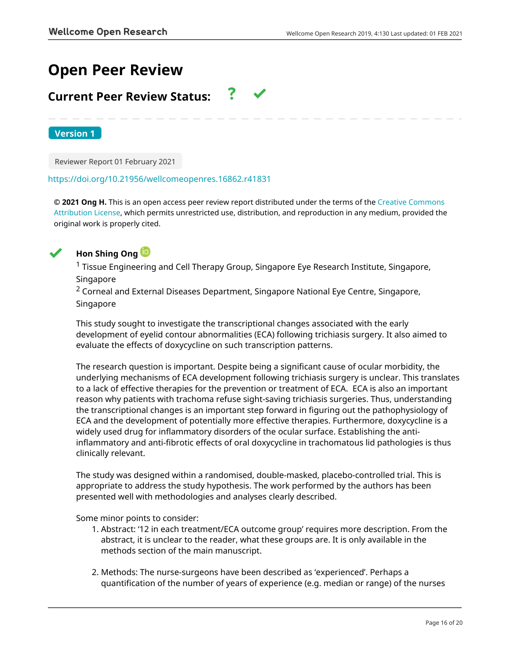# **Open Peer Review**

# **Current Peer Review Status:**

**Version 1**

Reviewer Report 01 February 2021

# <https://doi.org/10.21956/wellcomeopenres.16862.r41831>

**© 2021 Ong H.** This is an open access peer review report distributed under the terms of the [Creative Commons](https://creativecommons.org/licenses/by/4.0/) [Attribution License](https://creativecommons.org/licenses/by/4.0/), which permits unrestricted use, distribution, and reproduction in any medium, provided the original work is properly cited.



# **Hon Shing Ong**

 $1$  Tissue Engineering and Cell Therapy Group, Singapore Eye Research Institute, Singapore, Singapore

<sup>2</sup> Corneal and External Diseases Department, Singapore National Eye Centre, Singapore, Singapore

This study sought to investigate the transcriptional changes associated with the early development of eyelid contour abnormalities (ECA) following trichiasis surgery. It also aimed to evaluate the effects of doxycycline on such transcription patterns.

The research question is important. Despite being a significant cause of ocular morbidity, the underlying mechanisms of ECA development following trichiasis surgery is unclear. This translates to a lack of effective therapies for the prevention or treatment of ECA. ECA is also an important reason why patients with trachoma refuse sight-saving trichiasis surgeries. Thus, understanding the transcriptional changes is an important step forward in figuring out the pathophysiology of ECA and the development of potentially more effective therapies. Furthermore, doxycycline is a widely used drug for inflammatory disorders of the ocular surface. Establishing the antiinflammatory and anti-fibrotic effects of oral doxycycline in trachomatous lid pathologies is thus clinically relevant.

The study was designed within a randomised, double-masked, placebo-controlled trial. This is appropriate to address the study hypothesis. The work performed by the authors has been presented well with methodologies and analyses clearly described.

Some minor points to consider:

- Abstract: '12 in each treatment/ECA outcome group' requires more description. From the 1. abstract, it is unclear to the reader, what these groups are. It is only available in the methods section of the main manuscript.
- 2. Methods: The nurse-surgeons have been described as 'experienced'. Perhaps a quantification of the number of years of experience (e.g. median or range) of the nurses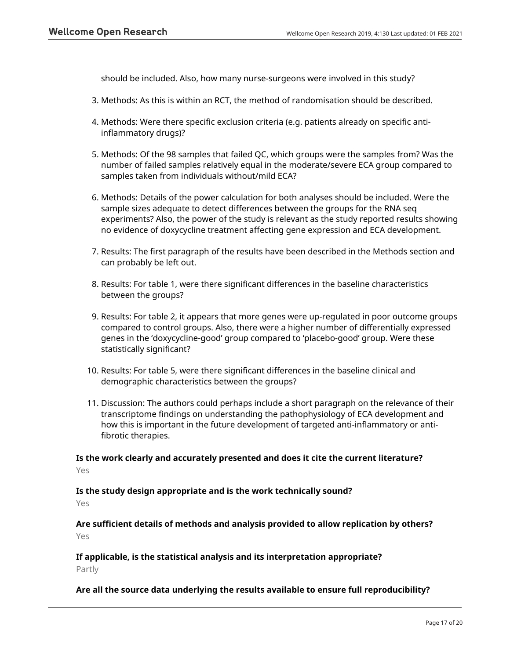should be included. Also, how many nurse-surgeons were involved in this study?

- 3. Methods: As this is within an RCT, the method of randomisation should be described.
- 4. Methods: Were there specific exclusion criteria (e.g. patients already on specific antiinflammatory drugs)?
- 5. Methods: Of the 98 samples that failed QC, which groups were the samples from? Was the number of failed samples relatively equal in the moderate/severe ECA group compared to samples taken from individuals without/mild ECA?
- 6. Methods: Details of the power calculation for both analyses should be included. Were the sample sizes adequate to detect differences between the groups for the RNA seq experiments? Also, the power of the study is relevant as the study reported results showing no evidence of doxycycline treatment affecting gene expression and ECA development.
- 7. Results: The first paragraph of the results have been described in the Methods section and can probably be left out.
- Results: For table 1, were there significant differences in the baseline characteristics 8. between the groups?
- 9. Results: For table 2, it appears that more genes were up-regulated in poor outcome groups compared to control groups. Also, there were a higher number of differentially expressed genes in the 'doxycycline-good' group compared to 'placebo-good' group. Were these statistically significant?
- 10. Results: For table 5, were there significant differences in the baseline clinical and demographic characteristics between the groups?
- 11. Discussion: The authors could perhaps include a short paragraph on the relevance of their transcriptome findings on understanding the pathophysiology of ECA development and how this is important in the future development of targeted anti-inflammatory or antifibrotic therapies.

**Is the work clearly and accurately presented and does it cite the current literature?** Yes

**Is the study design appropriate and is the work technically sound?**

Yes

**Are sufficient details of methods and analysis provided to allow replication by others?** Yes

**If applicable, is the statistical analysis and its interpretation appropriate?** Partly

# **Are all the source data underlying the results available to ensure full reproducibility?**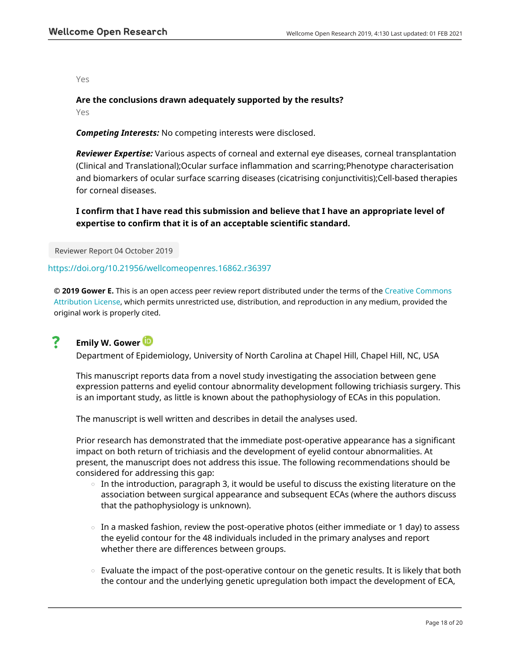Yes

# **Are the conclusions drawn adequately supported by the results?**

Yes

*Competing Interests:* No competing interests were disclosed.

*Reviewer Expertise:* Various aspects of corneal and external eye diseases, corneal transplantation (Clinical and Translational);Ocular surface inflammation and scarring;Phenotype characterisation and biomarkers of ocular surface scarring diseases (cicatrising conjunctivitis);Cell-based therapies for corneal diseases.

**I confirm that I have read this submission and believe that I have an appropriate level of expertise to confirm that it is of an acceptable scientific standard.**

Reviewer Report 04 October 2019

# <https://doi.org/10.21956/wellcomeopenres.16862.r36397>

**© 2019 Gower E.** This is an open access peer review report distributed under the terms of the [Creative Commons](https://creativecommons.org/licenses/by/4.0/) [Attribution License](https://creativecommons.org/licenses/by/4.0/), which permits unrestricted use, distribution, and reproduction in any medium, provided the original work is properly cited.

#### ? **Emily W. Gower**

Department of Epidemiology, University of North Carolina at Chapel Hill, Chapel Hill, NC, USA

This manuscript reports data from a novel study investigating the association between gene expression patterns and eyelid contour abnormality development following trichiasis surgery. This is an important study, as little is known about the pathophysiology of ECAs in this population.

The manuscript is well written and describes in detail the analyses used.

Prior research has demonstrated that the immediate post-operative appearance has a significant impact on both return of trichiasis and the development of eyelid contour abnormalities. At present, the manuscript does not address this issue. The following recommendations should be considered for addressing this gap:

- $\circ$  In the introduction, paragraph 3, it would be useful to discuss the existing literature on the association between surgical appearance and subsequent ECAs (where the authors discuss that the pathophysiology is unknown).
- $\circ$   $\,$  In a masked fashion, review the post-operative photos (either immediate or 1 day) to assess the eyelid contour for the 48 individuals included in the primary analyses and report whether there are differences between groups.
- Evaluate the impact of the post-operative contour on the genetic results. It is likely that both the contour and the underlying genetic upregulation both impact the development of ECA,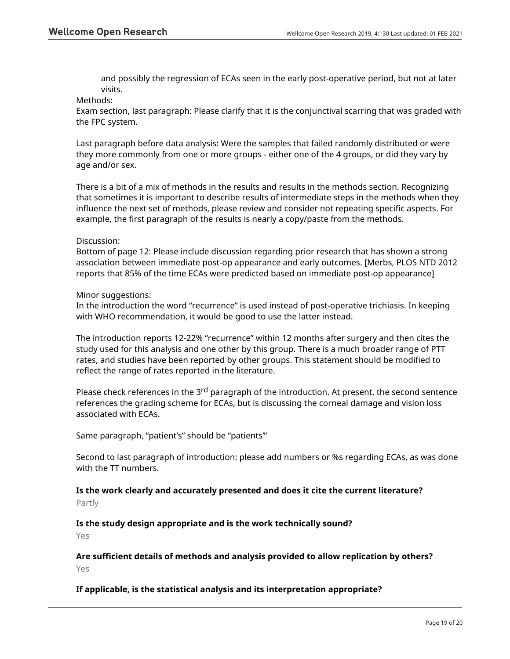and possibly the regression of ECAs seen in the early post-operative period, but not at later visits.

# Methods:

Exam section, last paragraph: Please clarify that it is the conjunctival scarring that was graded with the FPC system.

Last paragraph before data analysis: Were the samples that failed randomly distributed or were they more commonly from one or more groups - either one of the 4 groups, or did they vary by age and/or sex.

There is a bit of a mix of methods in the results and results in the methods section. Recognizing that sometimes it is important to describe results of intermediate steps in the methods when they influence the next set of methods, please review and consider not repeating specific aspects. For example, the first paragraph of the results is nearly a copy/paste from the methods.

# Discussion:

Bottom of page 12: Please include discussion regarding prior research that has shown a strong association between immediate post-op appearance and early outcomes. [Merbs, PLOS NTD 2012 reports that 85% of the time ECAs were predicted based on immediate post-op appearance]

# Minor suggestions:

In the introduction the word "recurrence" is used instead of post-operative trichiasis. In keeping with WHO recommendation, it would be good to use the latter instead.

The introduction reports 12-22% "recurrence" within 12 months after surgery and then cites the study used for this analysis and one other by this group. There is a much broader range of PTT rates, and studies have been reported by other groups. This statement should be modified to reflect the range of rates reported in the literature.

Please check references in the 3<sup>rd</sup> paragraph of the introduction. At present, the second sentence references the grading scheme for ECAs, but is discussing the corneal damage and vision loss associated with ECAs.

Same paragraph, "patient's" should be "patients'"

Second to last paragraph of introduction: please add numbers or %s regarding ECAs, as was done with the TT numbers.

# **Is the work clearly and accurately presented and does it cite the current literature?** Partly

**Is the study design appropriate and is the work technically sound?**

Yes

# **Are sufficient details of methods and analysis provided to allow replication by others?** Yes

# **If applicable, is the statistical analysis and its interpretation appropriate?**